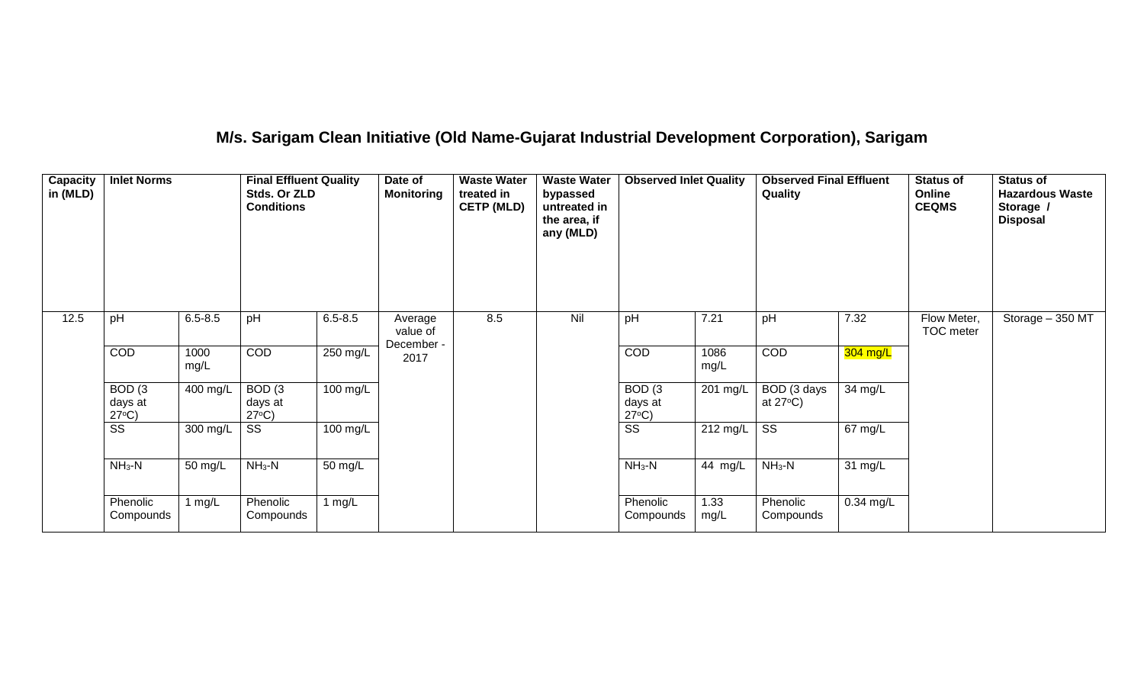# **M/s. Sarigam Clean Initiative (Old Name-Gujarat Industrial Development Corporation), Sarigam**

| Capacity<br>in (MLD) | <b>Inlet Norms</b>                              |              | <b>Final Effluent Quality</b><br>Stds. Or ZLD<br><b>Conditions</b> |             | Date of<br><b>Monitoring</b> | <b>Waste Water</b><br>treated in<br><b>CETP (MLD)</b> | <b>Waste Water</b><br>bypassed<br>untreated in<br>the area, if<br>any (MLD) | <b>Observed Inlet Quality</b>                   |              | <b>Observed Final Effluent</b><br>Quality |             | <b>Status of</b><br>Online<br><b>CEQMS</b> | <b>Status of</b><br><b>Hazardous Waste</b><br>Storage /<br><b>Disposal</b> |
|----------------------|-------------------------------------------------|--------------|--------------------------------------------------------------------|-------------|------------------------------|-------------------------------------------------------|-----------------------------------------------------------------------------|-------------------------------------------------|--------------|-------------------------------------------|-------------|--------------------------------------------|----------------------------------------------------------------------------|
| 12.5                 | pH                                              | $6.5 - 8.5$  | pH                                                                 | $6.5 - 8.5$ | Average<br>value of          | 8.5                                                   | Nil                                                                         | pH                                              | 7.21         | pH                                        | 7.32        | Flow Meter,<br>TOC meter                   | Storage - 350 MT                                                           |
|                      | COD                                             | 1000<br>mg/L | COD                                                                | 250 mg/L    | December -<br>2017           |                                                       |                                                                             | COD                                             | 1086<br>mg/L | COD                                       | 304 mg/L    |                                            |                                                                            |
|                      | BOD <sub>(3</sub><br>days at<br>$27^{\circ}C$ ) | 400 mg/L     | BOD <sub>(3</sub><br>days at<br>$27^{\circ}C$ )                    | 100 mg/L    |                              |                                                       |                                                                             | BOD <sub>(3</sub><br>days at<br>$27^{\circ}C$ ) | 201 mg/L     | BOD (3 days<br>at $27^{\circ}$ C)         | 34 mg/L     |                                            |                                                                            |
|                      | $\overline{\text{ss}}$                          | 300 mg/L     | SS                                                                 | 100 mg/L    |                              |                                                       |                                                                             | $\overline{\text{ss}}$                          | 212 mg/L     | $\overline{\text{SS}}$                    | 67 mg/L     |                                            |                                                                            |
|                      | $NH3-N$                                         | 50 mg/L      | $NH3-N$                                                            | 50 mg/L     |                              |                                                       |                                                                             | $NH_3-N$                                        | 44 mg/L      | $NH3-N$                                   | 31 mg/L     |                                            |                                                                            |
|                      | Phenolic<br>Compounds                           | 1 $mg/L$     | Phenolic<br>Compounds                                              | 1 $mg/L$    |                              |                                                       |                                                                             | Phenolic<br>Compounds                           | 1.33<br>mg/L | Phenolic<br>Compounds                     | $0.34$ mg/L |                                            |                                                                            |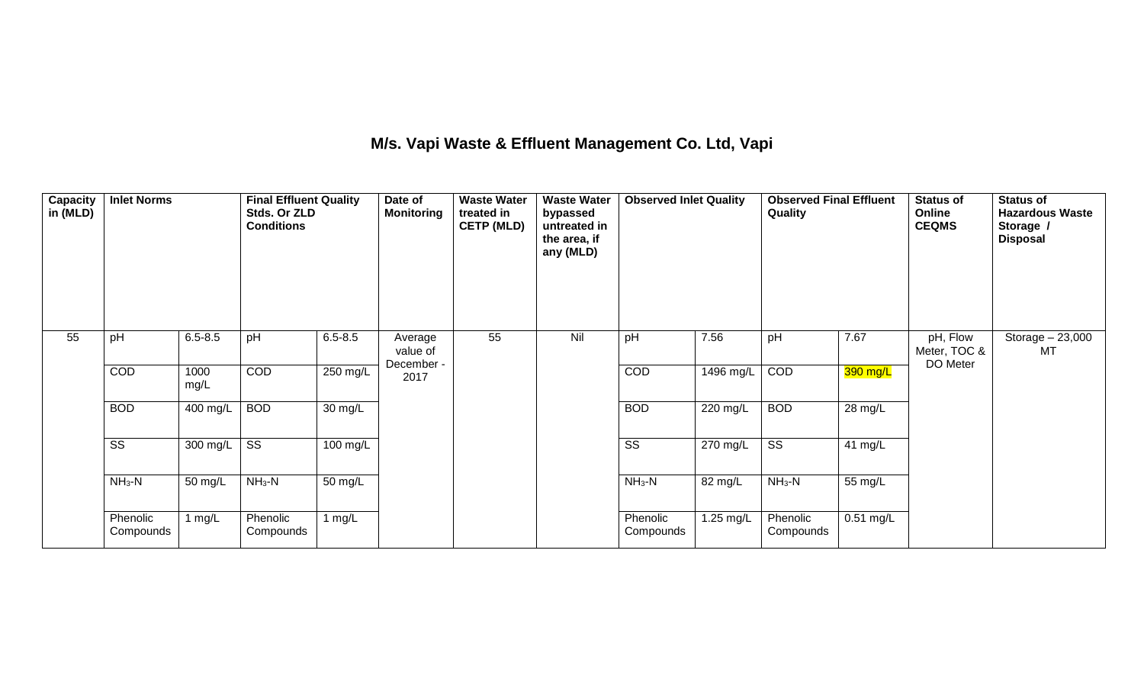## **M/s. Vapi Waste & Effluent Management Co. Ltd, Vapi**

| Capacity<br>in (MLD) | <b>Inlet Norms</b>     |                       | <b>Final Effluent Quality</b><br>Stds. Or ZLD<br><b>Conditions</b> |                   | Date of<br><b>Monitoring</b> | <b>Waste Water</b><br>treated in<br><b>CETP (MLD)</b> | <b>Waste Water</b><br>bypassed<br>untreated in<br>the area, if<br>any (MLD) | <b>Observed Inlet Quality</b> |           | <b>Observed Final Effluent</b><br>Quality |             | <b>Status of</b><br>Online<br><b>CEQMS</b> | <b>Status of</b><br><b>Hazardous Waste</b><br>Storage /<br><b>Disposal</b> |
|----------------------|------------------------|-----------------------|--------------------------------------------------------------------|-------------------|------------------------------|-------------------------------------------------------|-----------------------------------------------------------------------------|-------------------------------|-----------|-------------------------------------------|-------------|--------------------------------------------|----------------------------------------------------------------------------|
| 55                   | pH                     | $6.5 - 8.5$           | pH                                                                 | $6.5 - 8.5$       | Average<br>value of          | 55                                                    | Nil                                                                         | pH                            | 7.56      | pH                                        | 7.67        | pH, Flow<br>Meter, TOC &                   | Storage $-23,000$<br>MT                                                    |
|                      | COD                    | 1000<br>mg/L          | COD                                                                | 250 mg/L          | December -<br>2017           |                                                       |                                                                             | COD                           | 1496 mg/L | COD                                       | 390 mg/L    | DO Meter                                   |                                                                            |
|                      | <b>BOD</b>             | $\overline{400}$ mg/L | <b>BOD</b>                                                         | $30 \text{ mg/L}$ |                              |                                                       |                                                                             | <b>BOD</b>                    | 220 mg/L  | <b>BOD</b>                                | 28 mg/L     |                                            |                                                                            |
|                      | $\overline{\text{ss}}$ | 300 mg/L              | $\overline{\text{ss}}$                                             | 100 mg/L          |                              |                                                       |                                                                             | $\overline{\text{ss}}$        | 270 mg/L  | $\overline{\text{ss}}$                    | 41 mg/L     |                                            |                                                                            |
|                      | $NH3-N$                | 50 mg/L               | $NH_3-N$                                                           | 50 mg/L           |                              |                                                       |                                                                             | $NH3-N$                       | 82 mg/L   | $NH_3-N$                                  | 55 mg/L     |                                            |                                                                            |
|                      | Phenolic<br>Compounds  | 1 $mg/L$              | Phenolic<br>Compounds                                              | 1 $mg/L$          |                              |                                                       |                                                                             | Phenolic<br>Compounds         | 1.25 mg/L | Phenolic<br>Compounds                     | $0.51$ mg/L |                                            |                                                                            |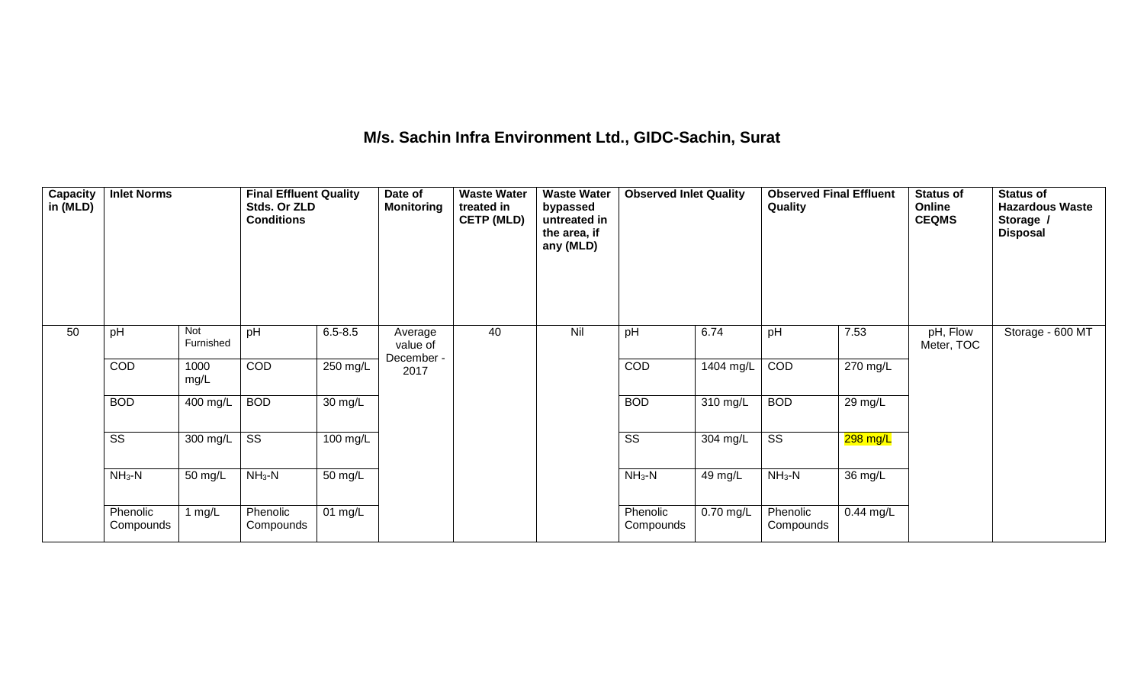## **M/s. Sachin Infra Environment Ltd., GIDC-Sachin, Surat**

| Capacity<br>in (MLD) | <b>Inlet Norms</b>     |                  | <b>Final Effluent Quality</b><br>Stds. Or ZLD<br><b>Conditions</b> |             | Date of<br><b>Monitoring</b>      | <b>Waste Water</b><br>treated in<br><b>CETP (MLD)</b> | <b>Waste Water</b><br>bypassed<br>untreated in<br>the area, if<br>any (MLD) | <b>Observed Inlet Quality</b> |           | <b>Observed Final Effluent</b><br>Quality |             | <b>Status of</b><br>Online<br><b>CEQMS</b> | <b>Status of</b><br><b>Hazardous Waste</b><br>Storage /<br><b>Disposal</b> |
|----------------------|------------------------|------------------|--------------------------------------------------------------------|-------------|-----------------------------------|-------------------------------------------------------|-----------------------------------------------------------------------------|-------------------------------|-----------|-------------------------------------------|-------------|--------------------------------------------|----------------------------------------------------------------------------|
| 50                   | pH                     | Not<br>Furnished | pH                                                                 | $6.5 - 8.5$ | Average<br>value of<br>December - | 40                                                    | Nil                                                                         | pH                            | 6.74      | pH                                        | 7.53        | pH, Flow<br>Meter, TOC                     | Storage - 600 MT                                                           |
|                      | COD                    | 1000<br>mg/L     | COD                                                                | $250$ mg/L  | 2017                              |                                                       |                                                                             | COD                           | 1404 mg/L | COD                                       | 270 mg/L    |                                            |                                                                            |
|                      | <b>BOD</b>             | 400 mg/L         | <b>BOD</b>                                                         | 30 mg/L     |                                   |                                                       |                                                                             | <b>BOD</b>                    | 310 mg/L  | <b>BOD</b>                                | 29 mg/L     |                                            |                                                                            |
|                      | $\overline{\text{SS}}$ | 300 mg/L         | $\overline{\text{SS}}$                                             | 100 mg/L    |                                   |                                                       |                                                                             | $\overline{\text{SS}}$        | 304 mg/L  | $\overline{\text{SS}}$                    | 298 mg/L    |                                            |                                                                            |
|                      | $NH3-N$                | 50 mg/L          | $NH3-N$                                                            | 50 mg/L     |                                   |                                                       |                                                                             | $NH3-N$                       | 49 mg/L   | $NH_3-N$                                  | 36 mg/L     |                                            |                                                                            |
|                      | Phenolic<br>Compounds  | 1 $mg/L$         | Phenolic<br>Compounds                                              | $01$ mg/L   |                                   |                                                       |                                                                             | Phenolic<br>Compounds         | 0.70 mg/L | Phenolic<br>Compounds                     | $0.44$ mg/L |                                            |                                                                            |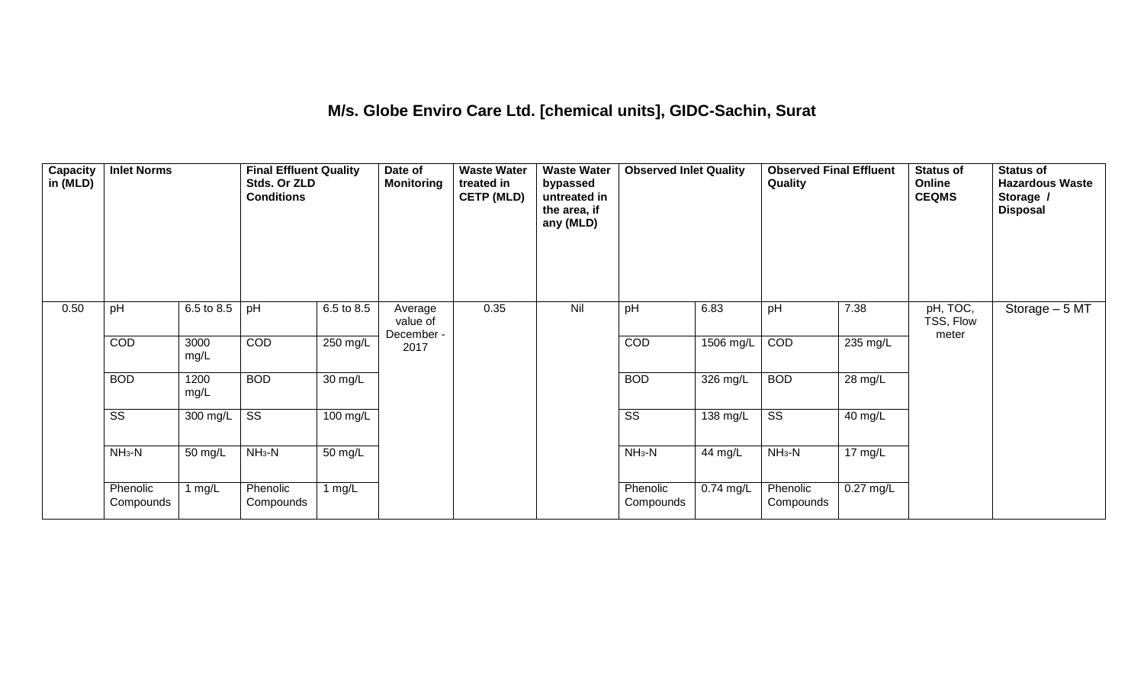#### **M/s. Globe Enviro Care Ltd. [chemical units], GIDC-Sachin, Surat**

| Capacity<br>in (MLD) | <b>Inlet Norms</b>     |              | <b>Final Effluent Quality</b><br>Stds. Or ZLD<br><b>Conditions</b> |                    | Date of<br><b>Monitoring</b>      | <b>Waste Water</b><br>treated in<br><b>CETP (MLD)</b> | <b>Waste Water</b><br>bypassed<br>untreated in<br>the area, if<br>any (MLD) | <b>Observed Inlet Quality</b> |                    | <b>Observed Final Effluent</b><br>Quality |                      | <b>Status of</b><br>Online<br><b>CEQMS</b> | <b>Status of</b><br><b>Hazardous Waste</b><br>Storage /<br><b>Disposal</b> |
|----------------------|------------------------|--------------|--------------------------------------------------------------------|--------------------|-----------------------------------|-------------------------------------------------------|-----------------------------------------------------------------------------|-------------------------------|--------------------|-------------------------------------------|----------------------|--------------------------------------------|----------------------------------------------------------------------------|
| 0.50                 | pH                     | 6.5 to 8.5   | pH                                                                 | 6.5 to 8.5         | Average<br>value of<br>December - | 0.35                                                  | Nil                                                                         | pH                            | 6.83               | pH                                        | 7.38                 | pH, TOC,<br>TSS, Flow<br>meter             | Storage $-5$ MT                                                            |
|                      | <b>COD</b>             | 3000<br>mg/L | COD                                                                | 250 mg/L           | 2017                              |                                                       |                                                                             | COD                           | 1506 mg/L          | COD                                       | 235 mg/L             |                                            |                                                                            |
|                      | <b>BOD</b>             | 1200<br>mg/L | <b>BOD</b>                                                         | 30 mg/L            |                                   |                                                       |                                                                             | <b>BOD</b>                    | $326 \text{ mg/L}$ | <b>BOD</b>                                | $\overline{28}$ mg/L |                                            |                                                                            |
|                      | $\overline{\text{ss}}$ | 300 mg/L     | $\overline{\text{ss}}$                                             | $100 \text{ mg/L}$ |                                   |                                                       |                                                                             | $\overline{\text{ss}}$        | 138 mg/L           | $\overline{\text{ss}}$                    | 40 mg/L              |                                            |                                                                            |
|                      | $NH_3-N$               | 50 mg/L      | $NH3-N$                                                            | 50 mg/L            |                                   |                                                       |                                                                             | $NH3-N$                       | 44 mg/L            | $NH3-N$                                   | 17 mg/L              |                                            |                                                                            |
|                      | Phenolic<br>Compounds  | 1 $mg/L$     | Phenolic<br>Compounds                                              | 1 $mg/L$           |                                   |                                                       |                                                                             | Phenolic<br>Compounds         | $0.74$ mg/L        | Phenolic<br>Compounds                     | 0.27 mg/L            |                                            |                                                                            |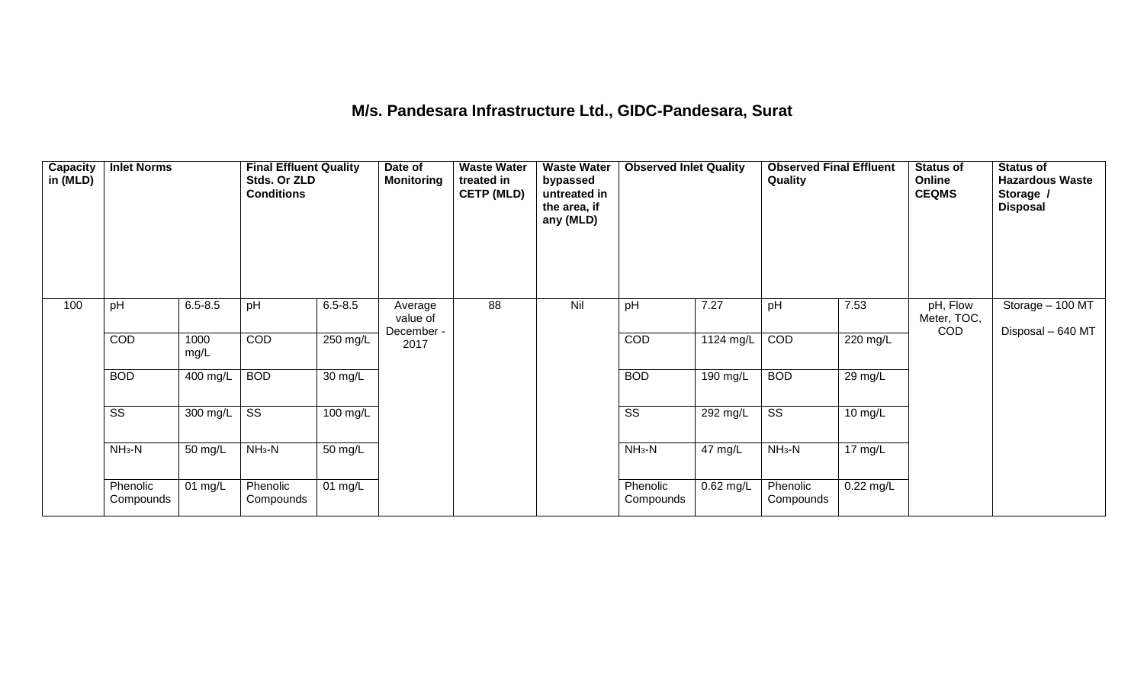# **M/s. Pandesara Infrastructure Ltd., GIDC-Pandesara, Surat**

| Capacity<br>in (MLD) | <b>Inlet Norms</b>     |              | <b>Final Effluent Quality</b><br>Stds. Or ZLD<br><b>Conditions</b> |             | Date of<br><b>Monitoring</b> | <b>Waste Water</b><br>treated in<br><b>CETP (MLD)</b> | <b>Waste Water</b><br>bypassed<br>untreated in<br>the area, if<br>any (MLD) | <b>Observed Inlet Quality</b> |           | <b>Observed Final Effluent</b><br>Quality |                   | <b>Status of</b><br>Online<br><b>CEQMS</b> | <b>Status of</b><br><b>Hazardous Waste</b><br>Storage /<br><b>Disposal</b> |
|----------------------|------------------------|--------------|--------------------------------------------------------------------|-------------|------------------------------|-------------------------------------------------------|-----------------------------------------------------------------------------|-------------------------------|-----------|-------------------------------------------|-------------------|--------------------------------------------|----------------------------------------------------------------------------|
| 100                  | pH                     | $6.5 - 8.5$  | pH                                                                 | $6.5 - 8.5$ | Average<br>value of          | 88                                                    | Nil                                                                         | pH                            | 7.27      | pH                                        | 7.53              | pH, Flow<br>Meter, TOC,<br><b>COD</b>      | Storage - 100 MT<br>Disposal - 640 MT                                      |
|                      | COD                    | 1000<br>mg/L | COD                                                                | 250 mg/L    | December -<br>2017           |                                                       |                                                                             | COD                           | 1124 mg/L | COD                                       | 220 mg/L          |                                            |                                                                            |
|                      | <b>BOD</b>             | 400 mg/L     | <b>BOD</b>                                                         | 30 mg/L     |                              |                                                       |                                                                             | <b>BOD</b>                    | 190 mg/L  | <b>BOD</b>                                | 29 mg/L           |                                            |                                                                            |
|                      | $\overline{\text{SS}}$ | 300 mg/L     | $\overline{\text{ss}}$                                             | 100 mg/L    |                              |                                                       |                                                                             | $\overline{\text{ss}}$        | 292 mg/L  | $\overline{\text{SS}}$                    | $10 \text{ mg/L}$ |                                            |                                                                            |
|                      | $NH3-N$                | 50 mg/L      | $NH3-N$                                                            | 50 mg/L     |                              |                                                       |                                                                             | $NH3-N$                       | 47 mg/L   | $NH3-N$                                   | 17 mg/L           |                                            |                                                                            |
|                      | Phenolic<br>Compounds  | 01 mg/L      | Phenolic<br>Compounds                                              | 01 $mg/L$   |                              |                                                       |                                                                             | Phenolic<br>Compounds         | 0.62 mg/L | Phenolic<br>Compounds                     | 0.22 mg/L         |                                            |                                                                            |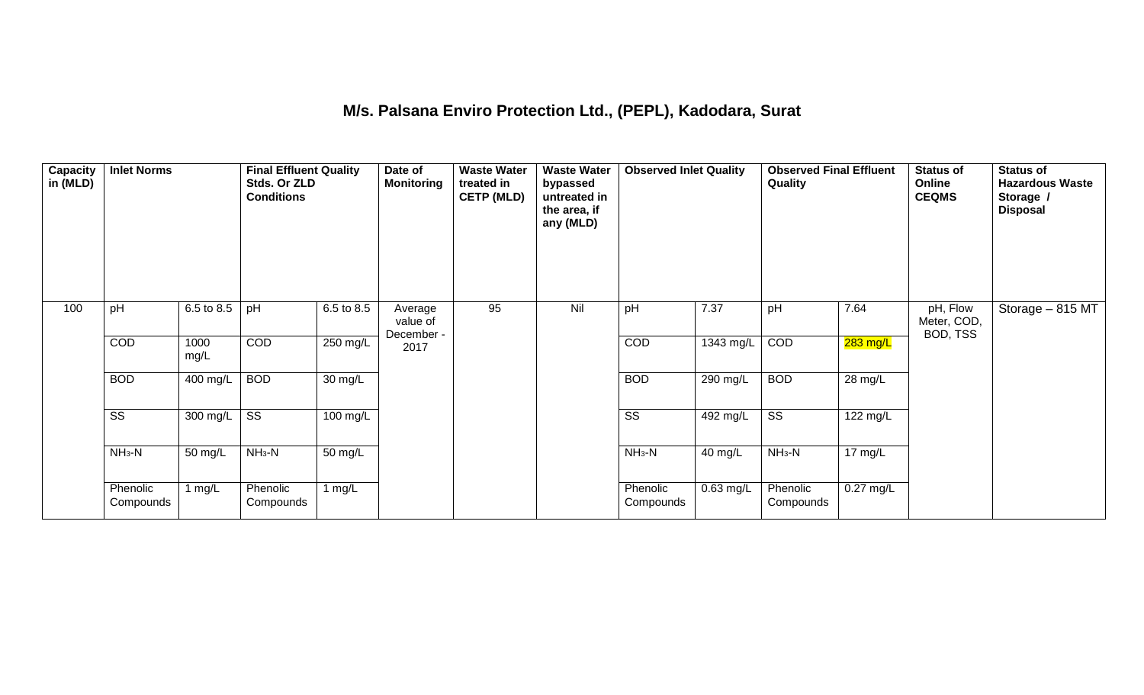#### **M/s. Palsana Enviro Protection Ltd., (PEPL), Kadodara, Surat**

| Capacity<br>in (MLD) | <b>Inlet Norms</b>     |              | <b>Final Effluent Quality</b><br>Stds. Or ZLD<br><b>Conditions</b> |                      | Date of<br><b>Monitoring</b>      | <b>Waste Water</b><br>treated in<br><b>CETP (MLD)</b> | <b>Waste Water</b><br>bypassed<br>untreated in<br>the area, if<br>any (MLD) | <b>Observed Inlet Quality</b> |            | <b>Observed Final Effluent</b><br>Quality |             | <b>Status of</b><br>Online<br><b>CEQMS</b> | <b>Status of</b><br><b>Hazardous Waste</b><br>Storage /<br><b>Disposal</b> |
|----------------------|------------------------|--------------|--------------------------------------------------------------------|----------------------|-----------------------------------|-------------------------------------------------------|-----------------------------------------------------------------------------|-------------------------------|------------|-------------------------------------------|-------------|--------------------------------------------|----------------------------------------------------------------------------|
| 100                  | pH                     | 6.5 to 8.5   | pH                                                                 | 6.5 to 8.5           | Average<br>value of<br>December - | 95                                                    | Nil                                                                         | pH                            | 7.37       | pH                                        | 7.64        | pH, Flow<br>Meter, COD,<br>BOD, TSS        | Storage - 815 MT                                                           |
|                      | COD                    | 1000<br>mg/L | COD                                                                | 250 mg/L             | 2017                              |                                                       |                                                                             | COD                           | 1343 mg/L  | COD                                       | 283 mg/L    |                                            |                                                                            |
|                      | <b>BOD</b>             | 400 mg/L     | <b>BOD</b>                                                         | $\overline{30}$ mg/L |                                   |                                                       |                                                                             | <b>BOD</b>                    | $290$ mg/L | <b>BOD</b>                                | 28 mg/L     |                                            |                                                                            |
|                      | $\overline{\text{ss}}$ | 300 mg/L     | $\overline{\text{ss}}$                                             | $100 \text{ mg/L}$   |                                   |                                                       |                                                                             | $\overline{\text{ss}}$        | $492$ mg/L | $\overline{\text{ss}}$                    | 122 mg/L    |                                            |                                                                            |
|                      | $NH3-N$                | 50 mg/L      | $NH3-N$                                                            | 50 mg/L              |                                   |                                                       |                                                                             | $NH_3-N$                      | 40 mg/L    | $NH3-N$                                   | 17 mg/L     |                                            |                                                                            |
|                      | Phenolic<br>Compounds  | 1 $mg/L$     | Phenolic<br>Compounds                                              | 1 $mg/L$             |                                   |                                                       |                                                                             | Phenolic<br>Compounds         | 0.63 mg/L  | Phenolic<br>Compounds                     | $0.27$ mg/L |                                            |                                                                            |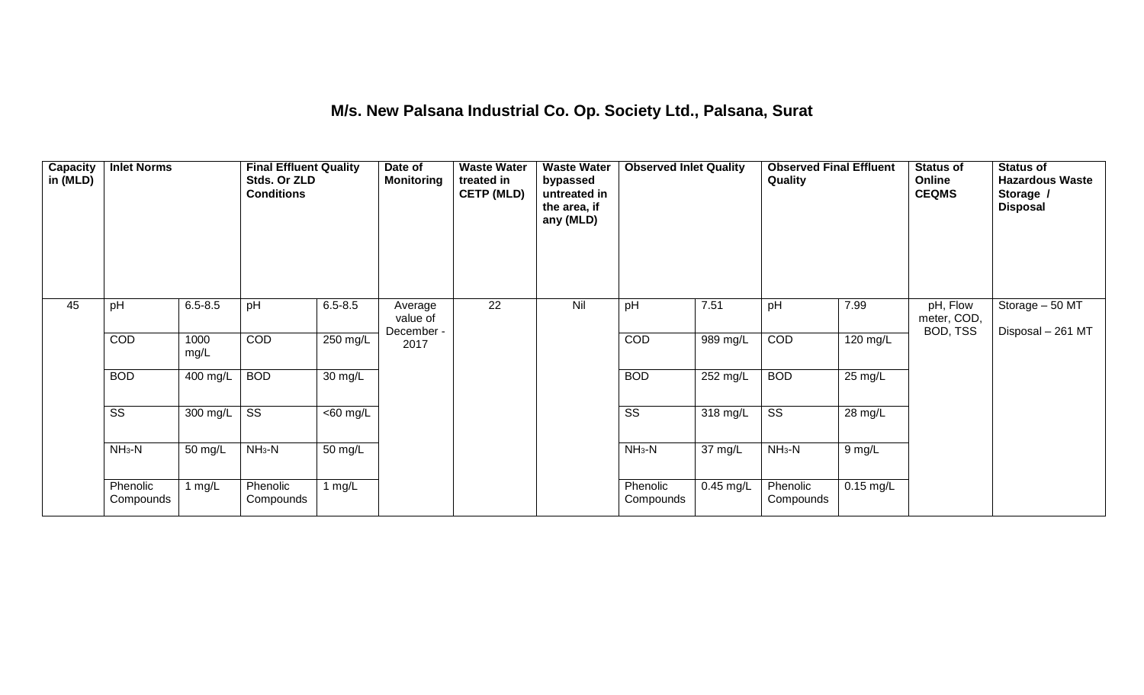## **M/s. New Palsana Industrial Co. Op. Society Ltd., Palsana, Surat**

| Capacity<br>in (MLD) | <b>Inlet Norms</b>     |                       | <b>Final Effluent Quality</b><br>Stds. Or ZLD<br><b>Conditions</b> |             | Date of<br><b>Monitoring</b> | <b>Waste Water</b><br>treated in<br><b>CETP (MLD)</b> | <b>Waste Water</b><br>bypassed<br>untreated in<br>the area, if<br>any (MLD) | <b>Observed Inlet Quality</b> |             | <b>Observed Final Effluent</b><br>Quality |             | <b>Status of</b><br>Online<br><b>CEQMS</b> | <b>Status of</b><br><b>Hazardous Waste</b><br>Storage /<br><b>Disposal</b> |
|----------------------|------------------------|-----------------------|--------------------------------------------------------------------|-------------|------------------------------|-------------------------------------------------------|-----------------------------------------------------------------------------|-------------------------------|-------------|-------------------------------------------|-------------|--------------------------------------------|----------------------------------------------------------------------------|
| 45                   | pH                     | $6.5 - 8.5$           | pH                                                                 | $6.5 - 8.5$ | Average<br>value of          | 22                                                    | Nil                                                                         | pH                            | 7.51        | pH                                        | 7.99        | pH, Flow<br>meter, COD,<br>BOD, TSS        | Storage - 50 MT                                                            |
|                      | COD                    | 1000<br>mg/L          | COD                                                                | 250 mg/L    | December -<br>2017           |                                                       |                                                                             | COD                           | 989 mg/L    | COD                                       | 120 mg/L    |                                            | Disposal - 261 MT                                                          |
|                      | <b>BOD</b>             | $\overline{400}$ mg/L | <b>BOD</b>                                                         | 30 mg/L     |                              |                                                       |                                                                             | <b>BOD</b>                    | 252 mg/L    | <b>BOD</b>                                | 25 mg/L     |                                            |                                                                            |
|                      | $\overline{\text{ss}}$ | 300 mg/L              | $\overline{\text{ss}}$                                             | $<$ 60 mg/L |                              |                                                       |                                                                             | $\overline{\text{ss}}$        | 318 mg/L    | $\overline{\text{ss}}$                    | 28 mg/L     |                                            |                                                                            |
|                      | $NH3-N$                | 50 mg/L               | $NH3-N$                                                            | 50 mg/L     |                              |                                                       |                                                                             | $NH3-N$                       | 37 mg/L     | $NH3-N$                                   | 9 mg/L      |                                            |                                                                            |
|                      | Phenolic<br>Compounds  | 1 $mg/L$              | Phenolic<br>Compounds                                              | 1 mg/L      |                              |                                                       |                                                                             | Phenolic<br>Compounds         | $0.45$ mg/L | Phenolic<br>Compounds                     | $0.15$ mg/L |                                            |                                                                            |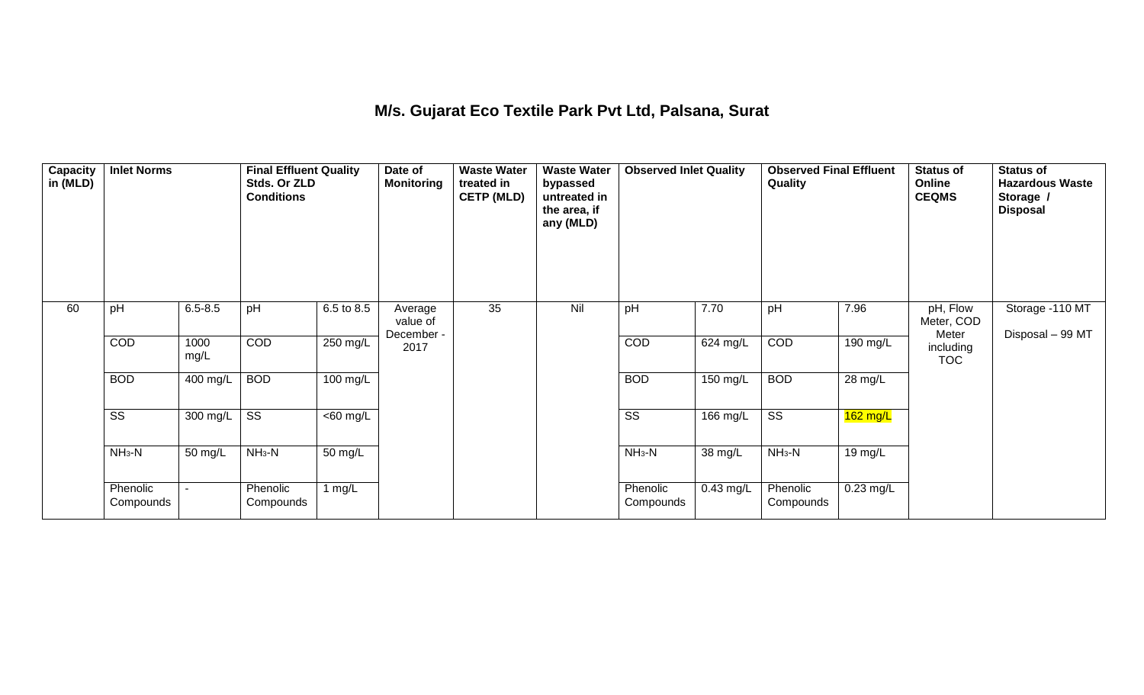## **M/s. Gujarat Eco Textile Park Pvt Ltd, Palsana, Surat**

| Capacity<br>in (MLD) | <b>Inlet Norms</b>     |              | <b>Final Effluent Quality</b><br>Stds. Or ZLD<br><b>Conditions</b> |                       | Date of<br><b>Monitoring</b>      | <b>Waste Water</b><br>treated in<br><b>CETP (MLD)</b> | <b>Waste Water</b><br>bypassed<br>untreated in<br>the area, if<br>any (MLD) | <b>Observed Inlet Quality</b> |            | <b>Observed Final Effluent</b><br>Quality |            | <b>Status of</b><br>Online<br><b>CEQMS</b> | <b>Status of</b><br><b>Hazardous Waste</b><br>Storage /<br><b>Disposal</b> |
|----------------------|------------------------|--------------|--------------------------------------------------------------------|-----------------------|-----------------------------------|-------------------------------------------------------|-----------------------------------------------------------------------------|-------------------------------|------------|-------------------------------------------|------------|--------------------------------------------|----------------------------------------------------------------------------|
| 60                   | pH                     | $6.5 - 8.5$  | pH                                                                 | 6.5 to 8.5            | Average<br>value of<br>December - | 35                                                    | Nil                                                                         | pH                            | 7.70       | pH                                        | 7.96       | pH, Flow<br>Meter, COD<br>Meter            | Storage -110 MT                                                            |
|                      | <b>COD</b>             | 1000<br>mg/L | COD                                                                | 250 mg/L              | 2017                              |                                                       |                                                                             | COD                           | 624 mg/L   | COD                                       | 190 mg/L   | including<br><b>TOC</b>                    | Disposal - 99 MT                                                           |
|                      | <b>BOD</b>             | 400 mg/L     | <b>BOD</b>                                                         | 100 mg/L              |                                   |                                                       |                                                                             | <b>BOD</b>                    | $150$ mg/L | <b>BOD</b>                                | 28 mg/L    |                                            |                                                                            |
|                      | $\overline{\text{ss}}$ | 300 mg/L     | $\overline{\text{ss}}$                                             | $\overline{<}60$ mg/L |                                   |                                                       |                                                                             | $\overline{\text{ss}}$        | 166 mg/L   | $\overline{\text{ss}}$                    | $162$ mg/L |                                            |                                                                            |
|                      | $NH_3-N$               | 50 mg/L      | $NH3-N$                                                            | 50 mg/L               |                                   |                                                       |                                                                             | $NH3-N$                       | 38 mg/L    | $NH3-N$                                   | 19 mg/L    |                                            |                                                                            |
|                      | Phenolic<br>Compounds  |              | Phenolic<br>Compounds                                              | 1 $mg/L$              |                                   |                                                       |                                                                             | Phenolic<br>Compounds         | 0.43 mg/L  | Phenolic<br>Compounds                     | 0.23 mg/L  |                                            |                                                                            |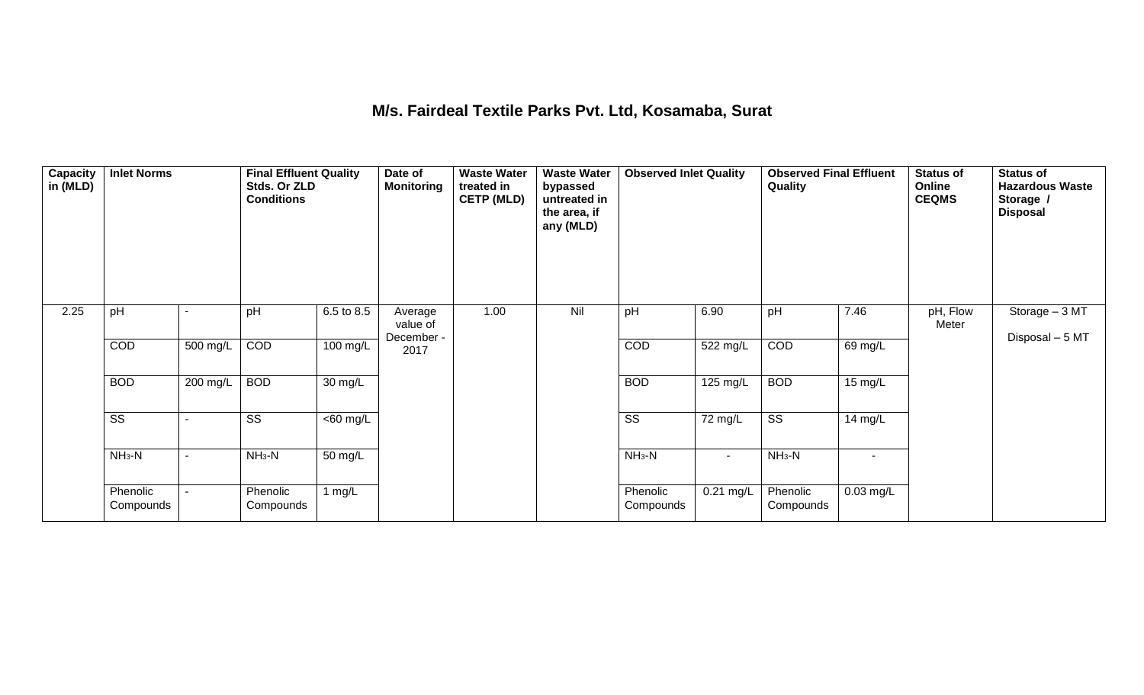#### **M/s. Fairdeal Textile Parks Pvt. Ltd, Kosamaba, Surat**

| $\overline{\mathsf{Capacity}}$<br>in (MLD) | <b>Inlet Norms</b>     |          | <b>Final Effluent Quality</b><br>Stds. Or ZLD<br><b>Conditions</b> |                      | Date of<br><b>Monitoring</b>      | <b>Waste Water</b><br>treated in<br><b>CETP (MLD)</b> | <b>Waste Water</b><br>bypassed<br>untreated in<br>the area, if<br>any (MLD) | <b>Observed Inlet Quality</b> |             | <b>Observed Final Effluent</b><br>Quality |                | <b>Status of</b><br>Online<br><b>CEQMS</b> | <b>Status of</b><br><b>Hazardous Waste</b><br>Storage /<br><b>Disposal</b> |
|--------------------------------------------|------------------------|----------|--------------------------------------------------------------------|----------------------|-----------------------------------|-------------------------------------------------------|-----------------------------------------------------------------------------|-------------------------------|-------------|-------------------------------------------|----------------|--------------------------------------------|----------------------------------------------------------------------------|
| 2.25                                       | pH                     |          | pH                                                                 | 6.5 to 8.5           | Average<br>value of<br>December - | 1.00                                                  | Nil                                                                         | pH                            | 6.90        | pH                                        | 7.46           | pH, Flow<br>Meter                          | Storage - 3 MT<br>Disposal - 5 MT                                          |
|                                            | COD                    | 500 mg/L | COD                                                                | 100 mg/L             | 2017                              |                                                       |                                                                             | COD                           | 522 mg/L    | COD                                       | 69 mg/L        |                                            |                                                                            |
|                                            | <b>BOD</b>             | 200 mg/L | <b>BOD</b>                                                         | 30 mg/L              |                                   |                                                       |                                                                             | <b>BOD</b>                    | 125 mg/L    | <b>BOD</b>                                | 15 mg/L        |                                            |                                                                            |
|                                            | $\overline{\text{ss}}$ |          | $\overline{\text{SS}}$                                             | $\overline{60}$ mg/L |                                   |                                                       |                                                                             | $\overline{\text{ss}}$        | 72 mg/L     | $\overline{\text{ss}}$                    | 14 mg/L        |                                            |                                                                            |
|                                            | $NH_3-N$               |          | $NH_3-N$                                                           | 50 mg/L              |                                   |                                                       |                                                                             | $NH3-N$                       | $\sim$      | $NH3-N$                                   | $\blacksquare$ |                                            |                                                                            |
|                                            | Phenolic<br>Compounds  |          | Phenolic<br>Compounds                                              | 1 $mg/L$             |                                   |                                                       |                                                                             | Phenolic<br>Compounds         | $0.21$ mg/L | Phenolic<br>Compounds                     | $0.03$ mg/L    |                                            |                                                                            |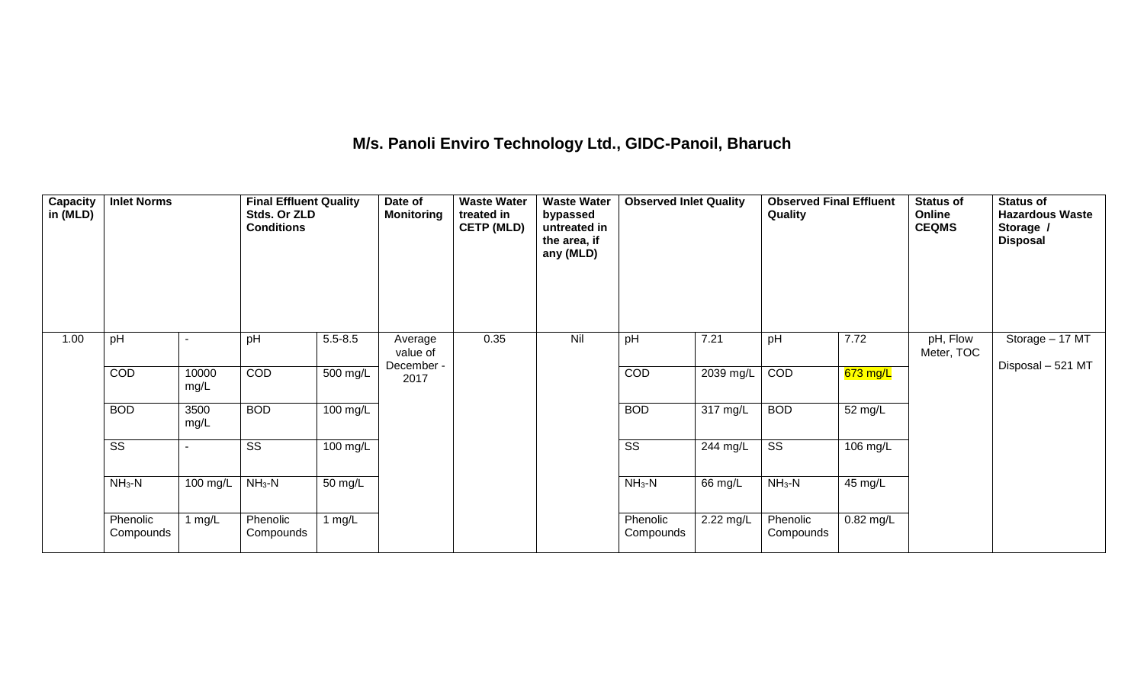## **M/s. Panoli Enviro Technology Ltd., GIDC-Panoil, Bharuch**

| Capacity<br>in (MLD) | <b>Inlet Norms</b>     |               | <b>Final Effluent Quality</b><br>Stds. Or ZLD<br><b>Conditions</b> |             | Date of<br><b>Monitoring</b> | <b>Waste Water</b><br>treated in<br><b>CETP (MLD)</b> | <b>Waste Water</b><br>bypassed<br>untreated in<br>the area, if<br>any (MLD) | <b>Observed Inlet Quality</b> |           | <b>Observed Final Effluent</b><br>Quality |             | <b>Status of</b><br>Online<br><b>CEQMS</b> | <b>Status of</b><br><b>Hazardous Waste</b><br>Storage /<br><b>Disposal</b> |
|----------------------|------------------------|---------------|--------------------------------------------------------------------|-------------|------------------------------|-------------------------------------------------------|-----------------------------------------------------------------------------|-------------------------------|-----------|-------------------------------------------|-------------|--------------------------------------------|----------------------------------------------------------------------------|
| 1.00                 | pH                     |               | pH                                                                 | $5.5 - 8.5$ | Average<br>value of          | 0.35                                                  | Nil                                                                         | pH                            | 7.21      | pH                                        | 7.72        | pH, Flow<br>Meter, TOC                     | Storage $-17$ MT                                                           |
|                      | COD                    | 10000<br>mg/L | COD                                                                | 500 mg/L    | December -<br>2017           |                                                       |                                                                             | <b>COD</b>                    | 2039 mg/L | COD                                       | 673 mg/L    |                                            | Disposal - 521 MT                                                          |
|                      | <b>BOD</b>             | 3500<br>mg/L  | <b>BOD</b>                                                         | 100 mg/L    |                              |                                                       |                                                                             | <b>BOD</b>                    | 317 mg/L  | <b>BOD</b>                                | 52 mg/L     |                                            |                                                                            |
|                      | $\overline{\text{ss}}$ |               | $\overline{\text{SS}}$                                             | 100 mg/L    |                              |                                                       |                                                                             | $\overline{\text{ss}}$        | 244 mg/L  | $\overline{\text{ss}}$                    | 106 mg/L    |                                            |                                                                            |
|                      | $NH_3-N$               | 100 mg/L      | $NH3-N$                                                            | 50 mg/L     |                              |                                                       |                                                                             | $NH_3-N$                      | 66 mg/L   | $NH_3-N$                                  | 45 mg/L     |                                            |                                                                            |
|                      | Phenolic<br>Compounds  | 1 $mg/L$      | Phenolic<br>Compounds                                              | 1 $mg/L$    |                              |                                                       |                                                                             | Phenolic<br>Compounds         | 2.22 mg/L | Phenolic<br>Compounds                     | $0.82$ mg/L |                                            |                                                                            |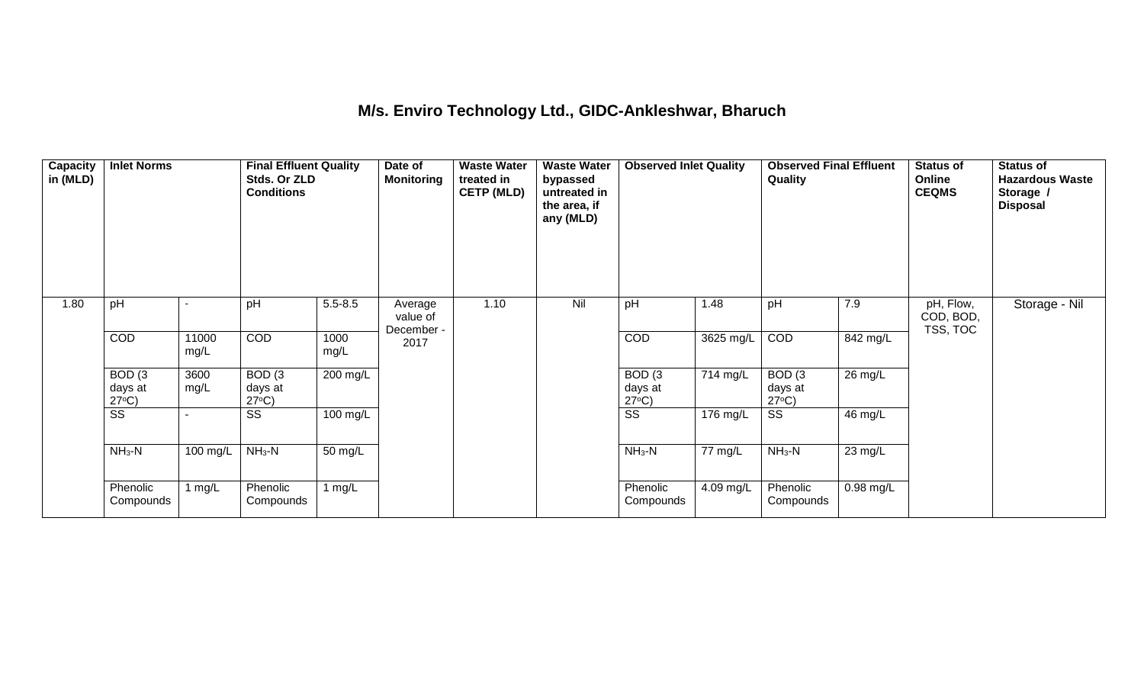#### **M/s. Enviro Technology Ltd., GIDC-Ankleshwar, Bharuch**

| Capacity<br>in (MLD) | <b>Inlet Norms</b>                   |               | <b>Final Effluent Quality</b><br>Stds. Or ZLD<br><b>Conditions</b> |              | Date of<br><b>Monitoring</b>      | <b>Waste Water</b><br>treated in<br><b>CETP (MLD)</b> | <b>Waste Water</b><br>bypassed<br>untreated in<br>the area, if<br>any (MLD) | <b>Observed Inlet Quality</b>        |           | <b>Observed Final Effluent</b><br>Quality |           | Status of<br>Online<br><b>CEQMS</b> | <b>Status of</b><br><b>Hazardous Waste</b><br>Storage /<br><b>Disposal</b> |
|----------------------|--------------------------------------|---------------|--------------------------------------------------------------------|--------------|-----------------------------------|-------------------------------------------------------|-----------------------------------------------------------------------------|--------------------------------------|-----------|-------------------------------------------|-----------|-------------------------------------|----------------------------------------------------------------------------|
| 1.80                 | pH                                   |               | pH                                                                 | $5.5 - 8.5$  | Average<br>value of<br>December - | 1.10                                                  | Nil                                                                         | pH                                   | 1.48      | pH                                        | 7.9       | pH, Flow,<br>COD, BOD,<br>TSS, TOC  | Storage - Nil                                                              |
|                      | COD                                  | 11000<br>mg/L | <b>COD</b>                                                         | 1000<br>mg/L | 2017                              |                                                       |                                                                             | COD                                  | 3625 mg/L | COD                                       | 842 mg/L  |                                     |                                                                            |
|                      | BOD(3)<br>days at<br>$27^{\circ}C$ ) | 3600<br>mg/L  | BOD(3)<br>days at<br>$27^{\circ}C$ )                               | $200$ mg/L   |                                   |                                                       |                                                                             | BOD(3)<br>days at<br>$27^{\circ}C$ ) | 714 mg/L  | BOD(3)<br>days at<br>$27^{\circ}C$ )      | 26 mg/L   |                                     |                                                                            |
|                      | $\overline{\text{ss}}$               |               | SS                                                                 | 100 mg/L     |                                   |                                                       |                                                                             | $\overline{\text{ss}}$               | 176 mg/L  | $\overline{\text{SS}}$                    | 46 mg/L   |                                     |                                                                            |
|                      | $NH3-N$                              | 100 mg/L      | $NH3-N$                                                            | 50 mg/L      |                                   |                                                       |                                                                             | $NH_3-N$                             | 77 mg/L   | $NH_3-N$                                  | 23 mg/L   |                                     |                                                                            |
|                      | Phenolic<br>Compounds                | 1 mg/L        | Phenolic<br>Compounds                                              | 1 $mg/L$     |                                   |                                                       |                                                                             | Phenolic<br>Compounds                | 4.09 mg/L | Phenolic<br>Compounds                     | 0.98 mg/L |                                     |                                                                            |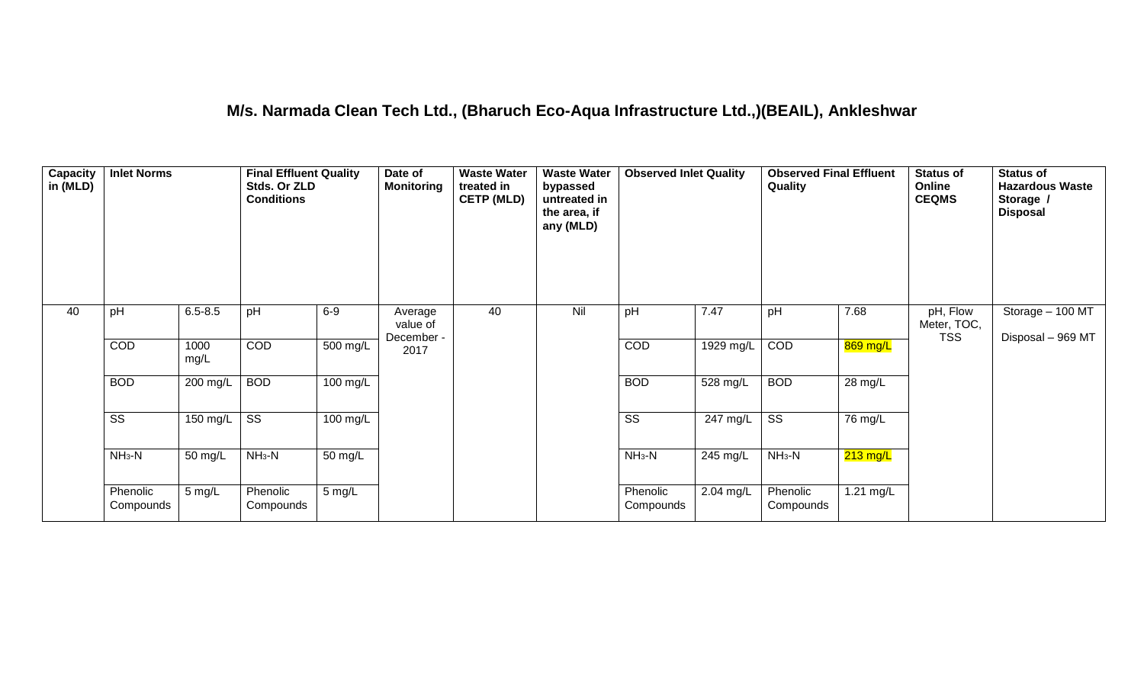#### **M/s. Narmada Clean Tech Ltd., (Bharuch Eco-Aqua Infrastructure Ltd.,)(BEAIL), Ankleshwar**

| <b>Capacity</b><br>in (MLD) | <b>Inlet Norms</b>     |              | <b>Final Effluent Quality</b><br>Stds. Or ZLD<br><b>Conditions</b> |                    | Date of<br><b>Monitoring</b>      | <b>Waste Water</b><br>treated in<br><b>CETP (MLD)</b> | <b>Waste Water</b><br>bypassed<br>untreated in<br>the area, if<br>any (MLD) | <b>Observed Inlet Quality</b> |                    | <b>Observed Final Effluent</b><br>Quality |                    | <b>Status of</b><br>Online<br><b>CEQMS</b> | <b>Status of</b><br><b>Hazardous Waste</b><br>Storage /<br><b>Disposal</b> |
|-----------------------------|------------------------|--------------|--------------------------------------------------------------------|--------------------|-----------------------------------|-------------------------------------------------------|-----------------------------------------------------------------------------|-------------------------------|--------------------|-------------------------------------------|--------------------|--------------------------------------------|----------------------------------------------------------------------------|
| 40                          | pH                     | $6.5 - 8.5$  | pH                                                                 | $6-9$              | Average<br>value of<br>December - | 40                                                    | Nil                                                                         | pH                            | 7.47               | pH                                        | 7.68               | pH, Flow<br>Meter, TOC,<br><b>TSS</b>      | Storage - 100 MT<br>Disposal - 969 MT                                      |
|                             | COD                    | 1000<br>mg/L | COD                                                                | 500 mg/L           | 2017                              |                                                       |                                                                             | COD                           | $1929$ mg/L        | COD                                       | 869 mg/L           |                                            |                                                                            |
|                             | <b>BOD</b>             | 200 mg/L     | <b>BOD</b>                                                         | 100 mg/L           |                                   |                                                       |                                                                             | <b>BOD</b>                    | 528 mg/L           | <b>BOD</b>                                | 28 mg/L            |                                            |                                                                            |
|                             | $\overline{\text{ss}}$ | 150 mg/L     | $\overline{\text{ss}}$                                             | $100 \text{ mg/L}$ |                                   |                                                       |                                                                             | $\overline{\text{ss}}$        | $247 \text{ mg/L}$ | $\overline{\text{ss}}$                    | 76 mg/L            |                                            |                                                                            |
|                             | $NH3-N$                | 50 mg/L      | $NH3-N$                                                            | 50 mg/L            |                                   |                                                       |                                                                             | $NH3-N$                       | $245$ mg/L         | $NH3-N$                                   | $213 \text{ mg/L}$ |                                            |                                                                            |
|                             | Phenolic<br>Compounds  | 5 mg/L       | Phenolic<br>Compounds                                              | 5 mg/L             |                                   |                                                       |                                                                             | Phenolic<br>Compounds         | 2.04 mg/L          | Phenolic<br>Compounds                     | 1.21 mg/L          |                                            |                                                                            |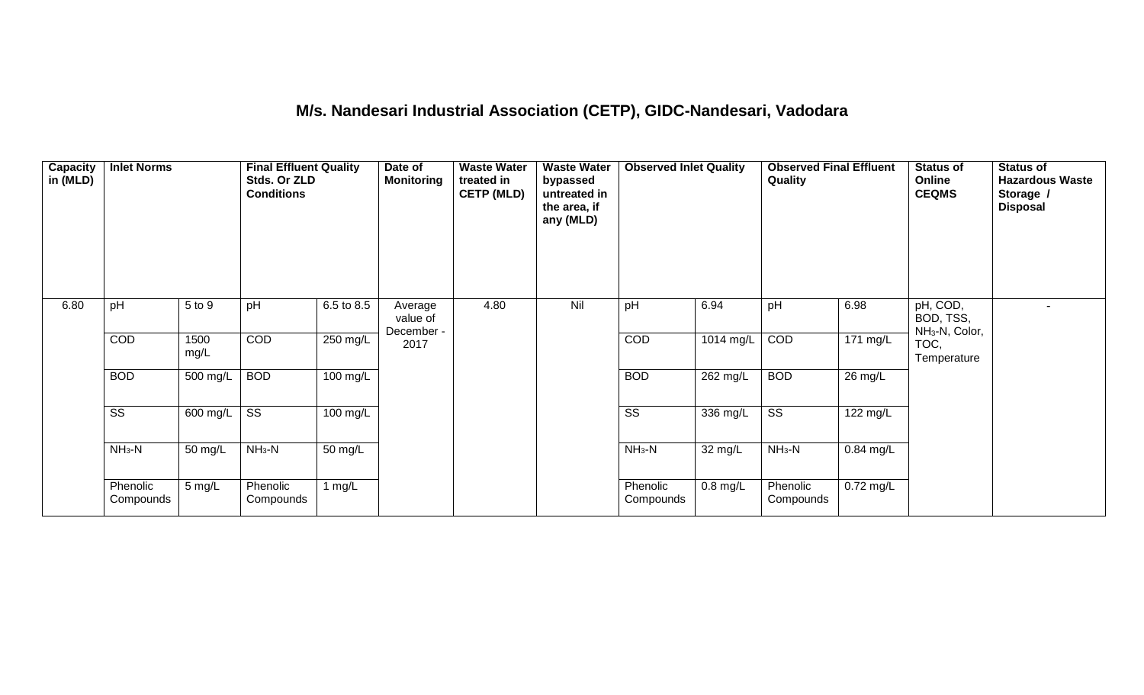## **M/s. Nandesari Industrial Association (CETP), GIDC-Nandesari, Vadodara**

| Capacity<br>in (MLD) | <b>Inlet Norms</b>     |                  | <b>Final Effluent Quality</b><br>Stds. Or ZLD<br><b>Conditions</b> |                    | Date of<br><b>Monitoring</b>      | <b>Waste Water</b><br>treated in<br><b>CETP (MLD)</b> | <b>Waste Water</b><br>bypassed<br>untreated in<br>the area, if<br>any (MLD) | <b>Observed Inlet Quality</b> |            | <b>Observed Final Effluent</b><br>Quality |                    | <b>Status of</b><br>Online<br><b>CEQMS</b>          | <b>Status of</b><br><b>Hazardous Waste</b><br>Storage /<br><b>Disposal</b> |
|----------------------|------------------------|------------------|--------------------------------------------------------------------|--------------------|-----------------------------------|-------------------------------------------------------|-----------------------------------------------------------------------------|-------------------------------|------------|-------------------------------------------|--------------------|-----------------------------------------------------|----------------------------------------------------------------------------|
| 6.80                 | pH                     | 5 to 9           | pH                                                                 | 6.5 to 8.5         | Average<br>value of<br>December - | 4.80                                                  | Nil                                                                         | pH                            | 6.94       | pH                                        | 6.98               | pH, COD,<br>BOD, TSS,<br>NH <sub>3</sub> -N, Color, |                                                                            |
|                      | COD                    | 1500<br>mg/L     | COD                                                                | 250 mg/L           | 2017                              |                                                       |                                                                             | COD                           | 1014 mg/L  | COD                                       | $171 \text{ mg/L}$ | TOC,<br>Temperature                                 |                                                                            |
|                      | <b>BOD</b>             | 500 mg/L         | <b>BOD</b>                                                         | $100 \text{ mg/L}$ |                                   |                                                       |                                                                             | <b>BOD</b>                    | $262$ mg/L | <b>BOD</b>                                | 26 mg/L            |                                                     |                                                                            |
|                      | $\overline{\text{ss}}$ | 600 mg/L         | $\overline{\text{ss}}$                                             | 100 mg/L           |                                   |                                                       |                                                                             | $\overline{\text{ss}}$        | 336 mg/L   | $\overline{\text{ss}}$                    | 122 mg/L           |                                                     |                                                                            |
|                      | $NH3-N$                | 50 mg/L          | $NH3-N$                                                            | 50 mg/L            |                                   |                                                       |                                                                             | $NH_3-N$                      | 32 mg/L    | $NH3-N$                                   | 0.84 mg/L          |                                                     |                                                                            |
|                      | Phenolic<br>Compounds  | $5 \text{ mg/L}$ | Phenolic<br>Compounds                                              | 1 $mg/L$           |                                   |                                                       |                                                                             | Phenolic<br>Compounds         | $0.8$ mg/L | Phenolic<br>Compounds                     | $0.72$ mg/L        |                                                     |                                                                            |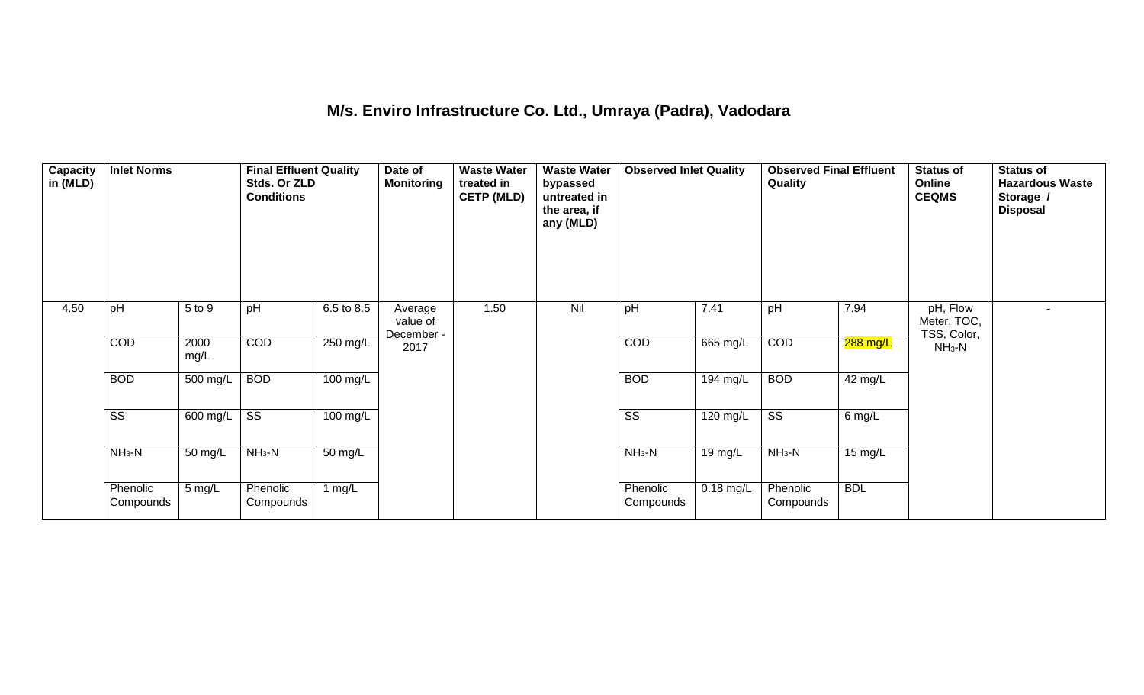## **M/s. Enviro Infrastructure Co. Ltd., Umraya (Padra), Vadodara**

| Capacity<br>in (MLD) | <b>Inlet Norms</b>     |              | <b>Final Effluent Quality</b><br>Stds. Or ZLD<br><b>Conditions</b> |            | Date of<br><b>Monitoring</b>      | <b>Waste Water</b><br>treated in<br><b>CETP (MLD)</b> | <b>Waste Water</b><br>bypassed<br>untreated in<br>the area, if<br>any (MLD) | <b>Observed Inlet Quality</b> |                    | <b>Observed Final Effluent</b><br><b>Quality</b> |            | <b>Status of</b><br>Online<br><b>CEQMS</b> | <b>Status of</b><br><b>Hazardous Waste</b><br>Storage /<br><b>Disposal</b> |
|----------------------|------------------------|--------------|--------------------------------------------------------------------|------------|-----------------------------------|-------------------------------------------------------|-----------------------------------------------------------------------------|-------------------------------|--------------------|--------------------------------------------------|------------|--------------------------------------------|----------------------------------------------------------------------------|
| 4.50                 | pH                     | 5 to 9       | pH                                                                 | 6.5 to 8.5 | Average<br>value of<br>December - | 1.50                                                  | Nil                                                                         | pH                            | 7.41               | pH                                               | 7.94       | pH, Flow<br>Meter, TOC,<br>TSS, Color,     | $\overline{\phantom{a}}$                                                   |
|                      | COD                    | 2000<br>mg/L | COD                                                                | 250 mg/L   | 2017                              |                                                       |                                                                             | COD                           | 665 mg/L           | COD                                              | 288 mg/L   | $NH3-N$                                    |                                                                            |
|                      | <b>BOD</b>             | 500 mg/L     | <b>BOD</b>                                                         | $100$ mg/L |                                   |                                                       |                                                                             | <b>BOD</b>                    | 194 mg/L           | <b>BOD</b>                                       | 42 mg/L    |                                            |                                                                            |
|                      | $\overline{\text{ss}}$ | 600 mg/L     | $\overline{\text{ss}}$                                             | $100$ mg/L |                                   |                                                       |                                                                             | $\overline{\text{ss}}$        | $120 \text{ mg/L}$ | $\overline{\text{ss}}$                           | 6 mg/L     |                                            |                                                                            |
|                      | $NH3-N$                | 50 mg/L      | $NH3-N$                                                            | 50 mg/L    |                                   |                                                       |                                                                             | $NH_3-N$                      | 19 mg/L            | $NH3-N$                                          | 15 mg/L    |                                            |                                                                            |
|                      | Phenolic<br>Compounds  | 5 mg/L       | Phenolic<br>Compounds                                              | 1 $mg/L$   |                                   |                                                       |                                                                             | Phenolic<br>Compounds         | $0.18$ mg/L        | Phenolic<br>Compounds                            | <b>BDL</b> |                                            |                                                                            |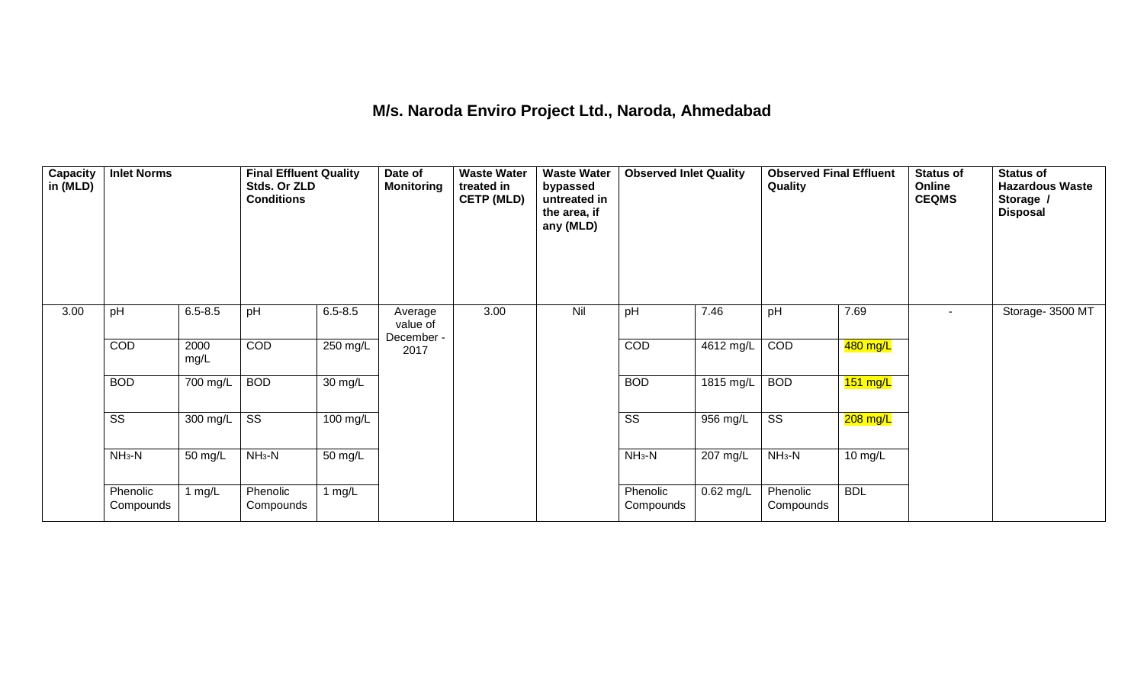## **M/s. Naroda Enviro Project Ltd., Naroda, Ahmedabad**

| <b>Capacity</b><br>in (MLD) | <b>Inlet Norms</b>     |                       | <b>Final Effluent Quality</b><br>Stds. Or ZLD<br><b>Conditions</b> |                      | Date of<br><b>Monitoring</b>      | <b>Waste Water</b><br>treated in<br><b>CETP (MLD)</b> | <b>Waste Water</b><br>bypassed<br>untreated in<br>the area, if<br>any (MLD) | <b>Observed Inlet Quality</b> |             | <b>Observed Final Effluent</b><br>Quality |                    | <b>Status of</b><br>Online<br><b>CEQMS</b> | <b>Status of</b><br><b>Hazardous Waste</b><br>Storage /<br><b>Disposal</b> |
|-----------------------------|------------------------|-----------------------|--------------------------------------------------------------------|----------------------|-----------------------------------|-------------------------------------------------------|-----------------------------------------------------------------------------|-------------------------------|-------------|-------------------------------------------|--------------------|--------------------------------------------|----------------------------------------------------------------------------|
| 3.00                        | pH                     | $6.5 - 8.5$           | pH                                                                 | $6.5 - 8.5$          | Average<br>value of<br>December - | 3.00                                                  | Nil                                                                         | pH                            | 7.46        | pH                                        | 7.69               | $\sim$                                     | Storage- 3500 MT                                                           |
|                             | <b>COD</b>             | 2000<br>mg/L          | COD                                                                | 250 mg/L             | 2017                              |                                                       |                                                                             | COD                           | 4612 mg/L   | COD                                       | 480 mg/L           |                                            |                                                                            |
|                             | <b>BOD</b>             | 700 mg/L              | <b>BOD</b>                                                         | $\overline{30}$ mg/L |                                   |                                                       |                                                                             | <b>BOD</b>                    | 1815 mg/L   | <b>BOD</b>                                | $151 \text{ mg/L}$ |                                            |                                                                            |
|                             | $\overline{\text{ss}}$ | $\overline{300}$ mg/L | $\overline{\text{ss}}$                                             | $100 \text{ mg/L}$   |                                   |                                                       |                                                                             | $\overline{\text{ss}}$        | 956 mg/L    | $\overline{\text{ss}}$                    | $208$ mg/L         |                                            |                                                                            |
|                             | $NH3-N$                | 50 mg/L               | $NH3-N$                                                            | 50 mg/L              |                                   |                                                       |                                                                             | $NH_3-N$                      | 207 mg/L    | $NH3-N$                                   | 10 mg/L            |                                            |                                                                            |
|                             | Phenolic<br>Compounds  | 1 mg/L                | Phenolic<br>Compounds                                              | 1 mg/L               |                                   |                                                       |                                                                             | Phenolic<br>Compounds         | $0.62$ mg/L | Phenolic<br>Compounds                     | <b>BDL</b>         |                                            |                                                                            |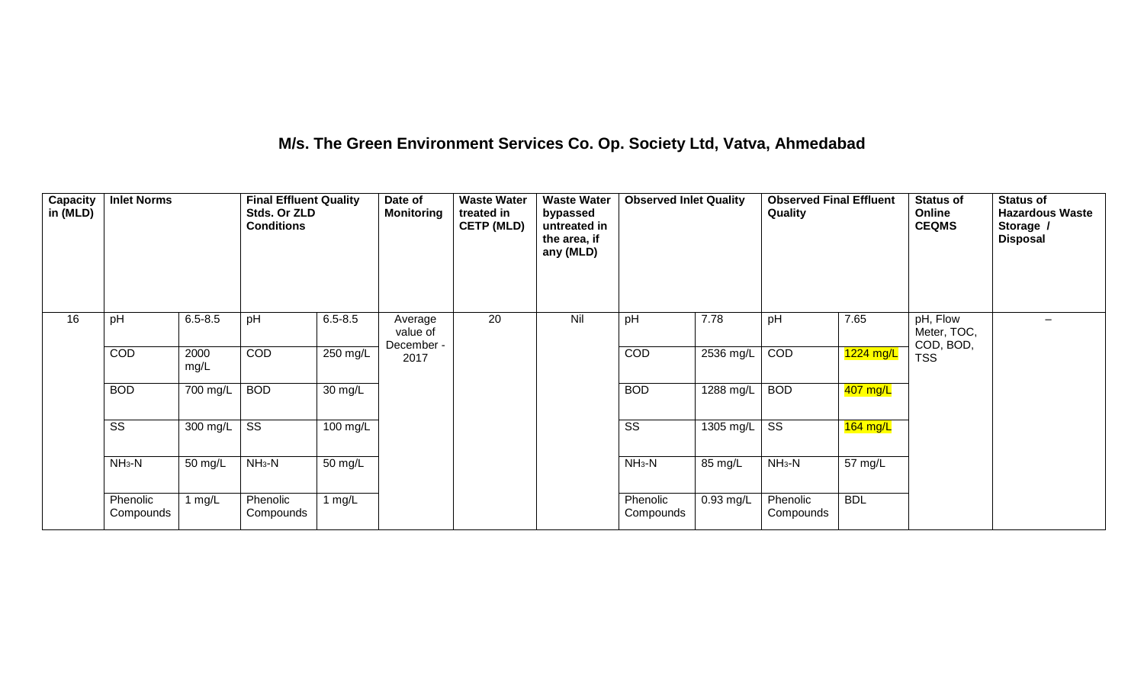## **M/s. The Green Environment Services Co. Op. Society Ltd, Vatva, Ahmedabad**

| <b>Capacity</b><br>in (MLD) | <b>Inlet Norms</b>     |              | <b>Final Effluent Quality</b><br>Stds. Or ZLD<br><b>Conditions</b> |             | Date of<br><b>Monitoring</b>      | <b>Waste Water</b><br>treated in<br><b>CETP (MLD)</b> | <b>Waste Water</b><br>bypassed<br>untreated in<br>the area, if<br>any (MLD) | <b>Observed Inlet Quality</b> |             | <b>Observed Final Effluent</b><br>Quality |            | <b>Status of</b><br>Online<br><b>CEQMS</b> | <b>Status of</b><br><b>Hazardous Waste</b><br>Storage /<br><b>Disposal</b> |
|-----------------------------|------------------------|--------------|--------------------------------------------------------------------|-------------|-----------------------------------|-------------------------------------------------------|-----------------------------------------------------------------------------|-------------------------------|-------------|-------------------------------------------|------------|--------------------------------------------|----------------------------------------------------------------------------|
| 16                          | pH                     | $6.5 - 8.5$  | pH                                                                 | $6.5 - 8.5$ | Average<br>value of<br>December - | 20                                                    | Nil                                                                         | pH                            | 7.78        | pH                                        | 7.65       | pH, Flow<br>Meter, TOC,<br>COD, BOD,       | $\overline{\phantom{0}}$                                                   |
|                             | COD                    | 2000<br>mg/L | <b>COD</b>                                                         | $250$ mg/L  | 2017                              |                                                       |                                                                             | COD                           | 2536 mg/L   | COD                                       | 1224 mg/L  | <b>TSS</b>                                 |                                                                            |
|                             | <b>BOD</b>             | 700 mg/L     | <b>BOD</b>                                                         | 30 mg/L     |                                   |                                                       |                                                                             | <b>BOD</b>                    | $1288$ mg/L | <b>BOD</b>                                | 407 mg/L   |                                            |                                                                            |
|                             | $\overline{\text{ss}}$ | 300 mg/L     | $\overline{\text{ss}}$                                             | 100 mg/L    |                                   |                                                       |                                                                             | $\overline{\text{SS}}$        | 1305 mg/L   | $\overline{\text{SS}}$                    | $164$ mg/L |                                            |                                                                            |
|                             | $NH3-N$                | 50 mg/L      | $NH3-N$                                                            | 50 mg/L     |                                   |                                                       |                                                                             | $NH3-N$                       | 85 mg/L     | $NH_3-N$                                  | 57 mg/L    |                                            |                                                                            |
|                             | Phenolic<br>Compounds  | 1 $mg/L$     | Phenolic<br>Compounds                                              | 1 $mg/L$    |                                   |                                                       |                                                                             | Phenolic<br>Compounds         | $0.93$ mg/L | Phenolic<br>Compounds                     | <b>BDL</b> |                                            |                                                                            |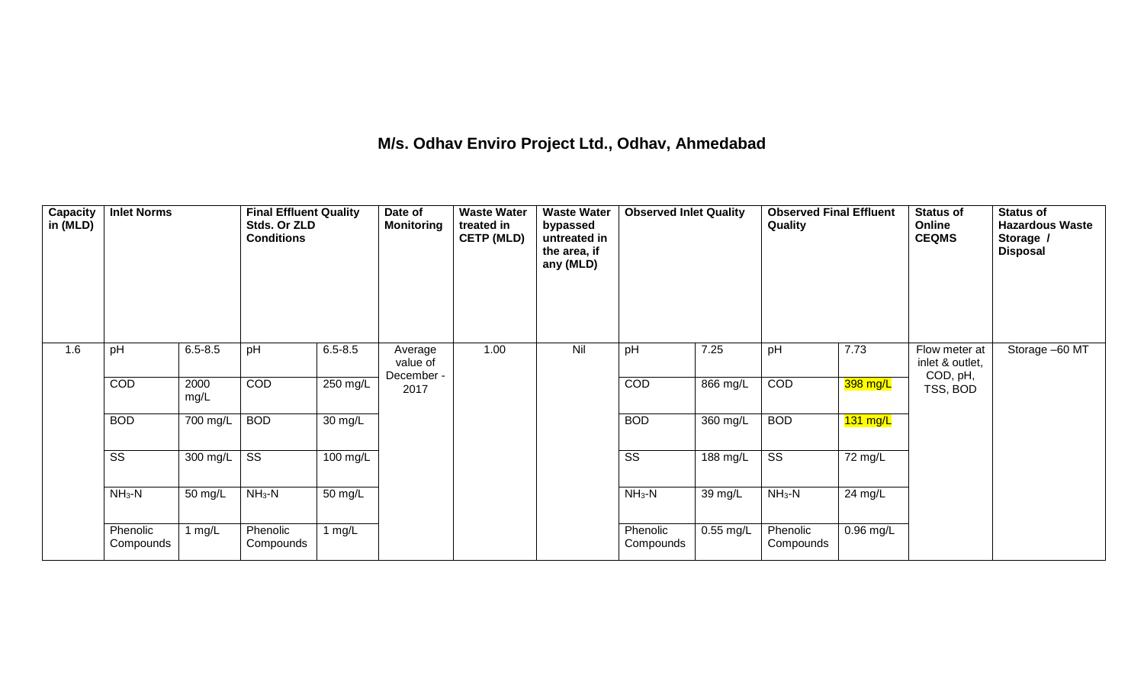## **M/s. Odhav Enviro Project Ltd., Odhav, Ahmedabad**

| <b>Capacity</b><br>in (MLD) | <b>Inlet Norms</b>     |              | <b>Final Effluent Quality</b><br>Stds. Or ZLD<br><b>Conditions</b> |             | Date of<br><b>Monitoring</b>      | <b>Waste Water</b><br>treated in<br><b>CETP (MLD)</b> | <b>Waste Water</b><br>bypassed<br>untreated in<br>the area, if<br>any (MLD) | <b>Observed Inlet Quality</b> |             | <b>Observed Final Effluent</b><br>Quality |             | <b>Status of</b><br>Online<br><b>CEQMS</b>   | <b>Status of</b><br><b>Hazardous Waste</b><br>Storage /<br><b>Disposal</b> |
|-----------------------------|------------------------|--------------|--------------------------------------------------------------------|-------------|-----------------------------------|-------------------------------------------------------|-----------------------------------------------------------------------------|-------------------------------|-------------|-------------------------------------------|-------------|----------------------------------------------|----------------------------------------------------------------------------|
| 1.6                         | pH                     | $6.5 - 8.5$  | pH                                                                 | $6.5 - 8.5$ | Average<br>value of<br>December - | 1.00                                                  | Nil                                                                         | pH                            | 7.25        | pH                                        | 7.73        | Flow meter at<br>inlet & outlet,<br>COD, pH, | Storage -60 MT                                                             |
|                             | COD                    | 2000<br>mg/L | COD                                                                | 250 mg/L    | 2017                              |                                                       |                                                                             | <b>COD</b>                    | 866 mg/L    | COD                                       | 398 mg/L    | TSS, BOD                                     |                                                                            |
|                             | <b>BOD</b>             | 700 mg/L     | <b>BOD</b>                                                         | 30 mg/L     |                                   |                                                       |                                                                             | <b>BOD</b>                    | 360 mg/L    | <b>BOD</b>                                | $131$ mg/L  |                                              |                                                                            |
|                             | $\overline{\text{ss}}$ | 300 mg/L     | $\overline{\text{SS}}$                                             | 100 mg/L    |                                   |                                                       |                                                                             | $\overline{\text{SS}}$        | 188 mg/L    | $\overline{\text{ss}}$                    | 72 mg/L     |                                              |                                                                            |
|                             | $NH3-N$                | 50 mg/L      | $NH3-N$                                                            | 50 mg/L     |                                   |                                                       |                                                                             | $NH3-N$                       | 39 mg/L     | $NH3-N$                                   | 24 mg/L     |                                              |                                                                            |
|                             | Phenolic<br>Compounds  | 1 $mg/L$     | Phenolic<br>Compounds                                              | 1 $mg/L$    |                                   |                                                       |                                                                             | Phenolic<br>Compounds         | $0.55$ mg/L | Phenolic<br>Compounds                     | $0.96$ mg/L |                                              |                                                                            |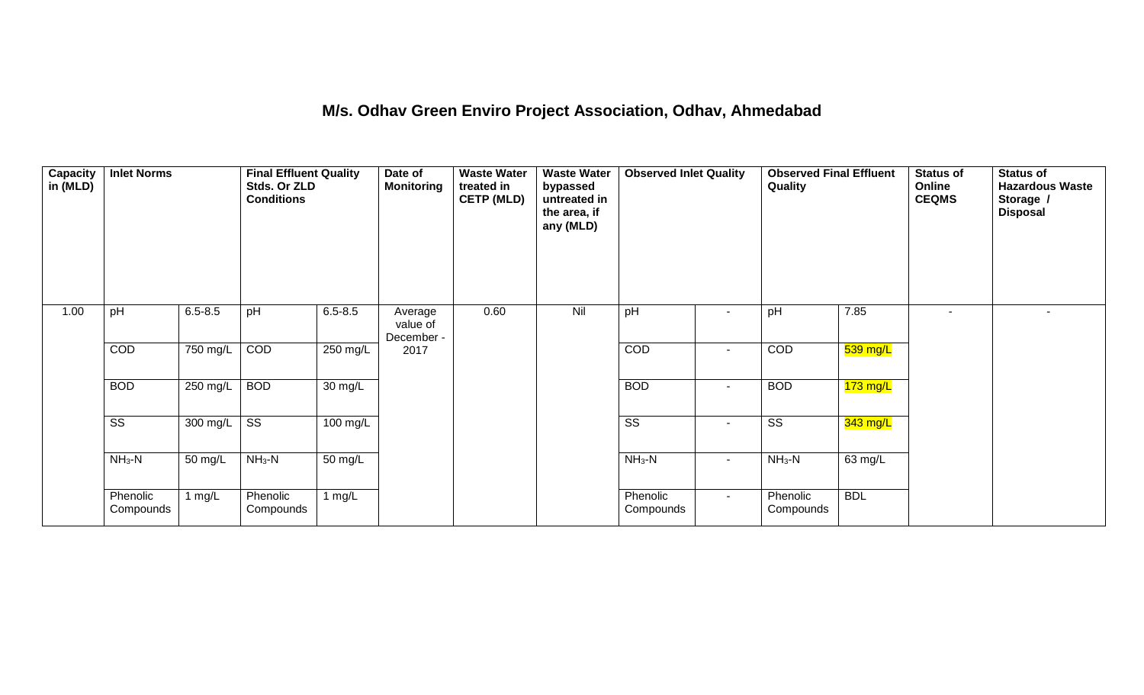#### **M/s. Odhav Green Enviro Project Association, Odhav, Ahmedabad**

| Capacity<br>in (MLD) | <b>Inlet Norms</b>     |             | <b>Final Effluent Quality</b><br>Stds. Or ZLD<br><b>Conditions</b> |             | Date of<br><b>Monitoring</b>      | <b>Waste Water</b><br>treated in<br><b>CETP (MLD)</b> | <b>Waste Water</b><br>bypassed<br>untreated in<br>the area, if<br>any (MLD) | <b>Observed Inlet Quality</b> |                          | <b>Observed Final Effluent</b><br>Quality |            | <b>Status of</b><br>Online<br><b>CEQMS</b> | <b>Status of</b><br><b>Hazardous Waste</b><br>Storage /<br><b>Disposal</b> |
|----------------------|------------------------|-------------|--------------------------------------------------------------------|-------------|-----------------------------------|-------------------------------------------------------|-----------------------------------------------------------------------------|-------------------------------|--------------------------|-------------------------------------------|------------|--------------------------------------------|----------------------------------------------------------------------------|
| 1.00                 | pH                     | $6.5 - 8.5$ | pH                                                                 | $6.5 - 8.5$ | Average<br>value of<br>December - | 0.60                                                  | Nil                                                                         | pH                            | $\overline{\phantom{a}}$ | pH                                        | 7.85       | $\overline{\phantom{a}}$                   | $\sim$                                                                     |
|                      | COD                    | 750 mg/L    | COD                                                                | 250 mg/L    | 2017                              |                                                       |                                                                             | COD                           | $\blacksquare$           | COD                                       | $539$ mg/L |                                            |                                                                            |
|                      | <b>BOD</b>             | 250 mg/L    | <b>BOD</b>                                                         | 30 mg/L     |                                   |                                                       |                                                                             | <b>BOD</b>                    | $\sim$                   | <b>BOD</b>                                | $173$ mg/L |                                            |                                                                            |
|                      | $\overline{\text{SS}}$ | 300 mg/L    | $\overline{\text{ss}}$                                             | 100 mg/L    |                                   |                                                       |                                                                             | $\overline{\text{ss}}$        | $\blacksquare$           | $\overline{\text{SS}}$                    | $343$ mg/L |                                            |                                                                            |
|                      | $NH3-N$                | 50 mg/L     | $NH3-N$                                                            | 50 mg/L     |                                   |                                                       |                                                                             | $NH_3-N$                      | $\sim$                   | $NH_3-N$                                  | 63 mg/L    |                                            |                                                                            |
|                      | Phenolic<br>Compounds  | 1 $mg/L$    | Phenolic<br>Compounds                                              | 1 $mg/L$    |                                   |                                                       |                                                                             | Phenolic<br>Compounds         | $\sim$                   | Phenolic<br>Compounds                     | <b>BDL</b> |                                            |                                                                            |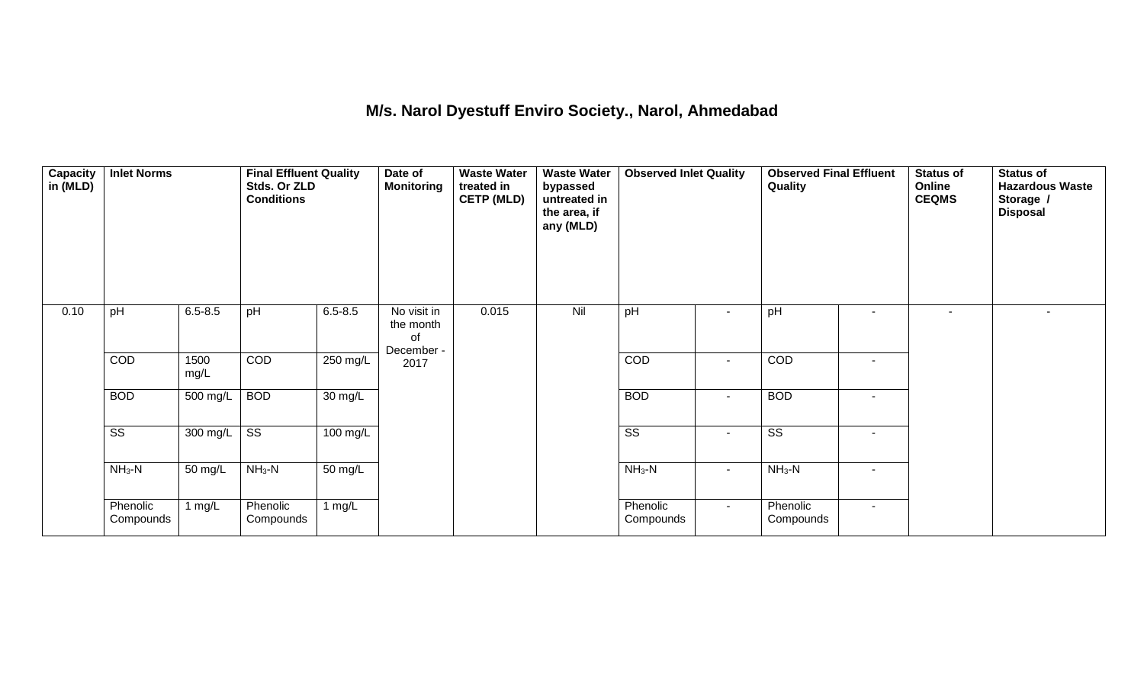#### **M/s. Narol Dyestuff Enviro Society., Narol, Ahmedabad**

| $\sqrt{\frac{2}{1}}$<br>in (MLD) | <b>Inlet Norms</b>     |              | <b>Final Effluent Quality</b><br>Stds. Or ZLD<br><b>Conditions</b> |             | Date of<br><b>Monitoring</b>   | <b>Waste Water</b><br>treated in<br><b>CETP (MLD)</b> | <b>Waste Water</b><br>bypassed<br>untreated in<br>the area, if<br>any (MLD) | <b>Observed Inlet Quality</b> |                | <b>Observed Final Effluent</b><br>Quality |                          | Status of<br>Online<br><b>CEQMS</b> | <b>Status of</b><br><b>Hazardous Waste</b><br>Storage /<br><b>Disposal</b> |
|----------------------------------|------------------------|--------------|--------------------------------------------------------------------|-------------|--------------------------------|-------------------------------------------------------|-----------------------------------------------------------------------------|-------------------------------|----------------|-------------------------------------------|--------------------------|-------------------------------------|----------------------------------------------------------------------------|
| 0.10                             | pH                     | $6.5 - 8.5$  | pH                                                                 | $6.5 - 8.5$ | No visit in<br>the month<br>οf | 0.015                                                 | Nil                                                                         | pH                            | ٠              | pH                                        | $\sim$                   | $\sim$                              | $\sim$                                                                     |
|                                  | COD                    | 1500<br>mg/L | COD                                                                | 250 mg/L    | December -<br>2017             |                                                       |                                                                             | COD                           | $\blacksquare$ | COD                                       | $\overline{\phantom{a}}$ |                                     |                                                                            |
|                                  | <b>BOD</b>             | 500 mg/L     | <b>BOD</b>                                                         | 30 mg/L     |                                |                                                       |                                                                             | <b>BOD</b>                    | $\blacksquare$ | <b>BOD</b>                                | $\blacksquare$           |                                     |                                                                            |
|                                  | $\overline{\text{ss}}$ | 300 mg/L     | $\overline{\text{ss}}$                                             | 100 mg/L    |                                |                                                       |                                                                             | $\overline{\text{ss}}$        | $\blacksquare$ | $\overline{\text{ss}}$                    | $\sim$                   |                                     |                                                                            |
|                                  | $NH3-N$                | 50 mg/L      | $NH3-N$                                                            | 50 mg/L     |                                |                                                       |                                                                             | $NH3-N$                       | $\blacksquare$ | $NH_3-N$                                  | $\sim$                   |                                     |                                                                            |
|                                  | Phenolic<br>Compounds  | 1 $mg/L$     | Phenolic<br>Compounds                                              | 1 mg/ $L$   |                                |                                                       |                                                                             | Phenolic<br>Compounds         | $\sim$         | Phenolic<br>Compounds                     | $\sim$                   |                                     |                                                                            |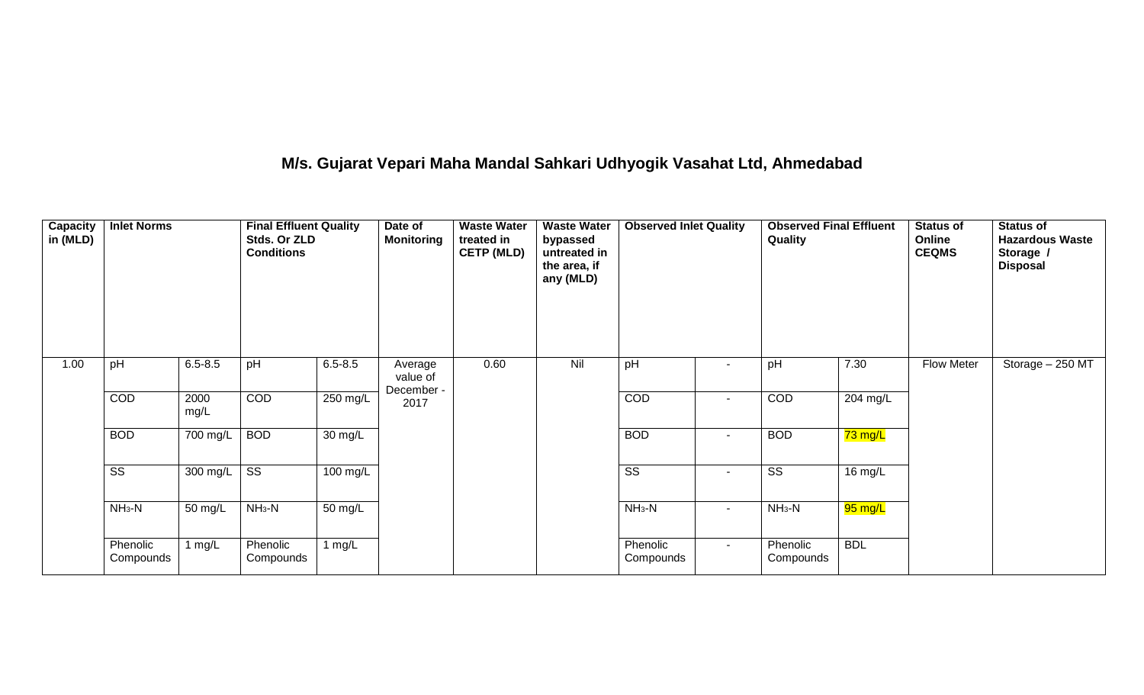## **M/s. Gujarat Vepari Maha Mandal Sahkari Udhyogik Vasahat Ltd, Ahmedabad**

| <b>Capacity</b><br>in (MLD) | <b>Inlet Norms</b>     |              | <b>Final Effluent Quality</b><br>Stds. Or ZLD<br><b>Conditions</b> |                      | Date of<br><b>Monitoring</b> | <b>Waste Water</b><br>treated in<br><b>CETP (MLD)</b> | <b>Waste Water</b><br>bypassed<br>untreated in<br>the area, if<br>any (MLD) | <b>Observed Inlet Quality</b> |                          | <b>Observed Final Effluent</b><br>Quality |            | <b>Status of</b><br>Online<br><b>CEQMS</b> | <b>Status of</b><br><b>Hazardous Waste</b><br>Storage /<br><b>Disposal</b> |
|-----------------------------|------------------------|--------------|--------------------------------------------------------------------|----------------------|------------------------------|-------------------------------------------------------|-----------------------------------------------------------------------------|-------------------------------|--------------------------|-------------------------------------------|------------|--------------------------------------------|----------------------------------------------------------------------------|
| 1.00                        | pH                     | $6.5 - 8.5$  | pH                                                                 | $6.5 - 8.5$          | Average<br>value of          | 0.60                                                  | Nil                                                                         | pH                            | $\overline{\phantom{a}}$ | pH                                        | 7.30       | <b>Flow Meter</b>                          | Storage - 250 MT                                                           |
|                             | COD                    | 2000<br>mg/L | COD                                                                | $250$ mg/L           | December -<br>2017           |                                                       |                                                                             | COD                           | $\sim$                   | COD                                       | 204 mg/L   |                                            |                                                                            |
|                             | <b>BOD</b>             | 700 mg/L     | <b>BOD</b>                                                         | $\overline{30}$ mg/L |                              |                                                       |                                                                             | <b>BOD</b>                    | $\overline{\phantom{a}}$ | <b>BOD</b>                                | 73 mg/L    |                                            |                                                                            |
|                             | $\overline{\text{ss}}$ | 300 mg/L     | $\overline{\text{ss}}$                                             | $100$ mg/L           |                              |                                                       |                                                                             | $\overline{\text{ss}}$        | $\overline{a}$           | $\overline{\text{ss}}$                    | 16 mg/L    |                                            |                                                                            |
|                             | $NH3-N$                | 50 mg/L      | $NH_3-N$                                                           | 50 mg/L              |                              |                                                       |                                                                             | $NH_3-N$                      | $\sim$                   | $NH_3-N$                                  | 95 mg/L    |                                            |                                                                            |
|                             | Phenolic<br>Compounds  | 1 $mg/L$     | Phenolic<br>Compounds                                              | 1 $mg/L$             |                              |                                                       |                                                                             | Phenolic<br>Compounds         | $\sim$                   | Phenolic<br>Compounds                     | <b>BDL</b> |                                            |                                                                            |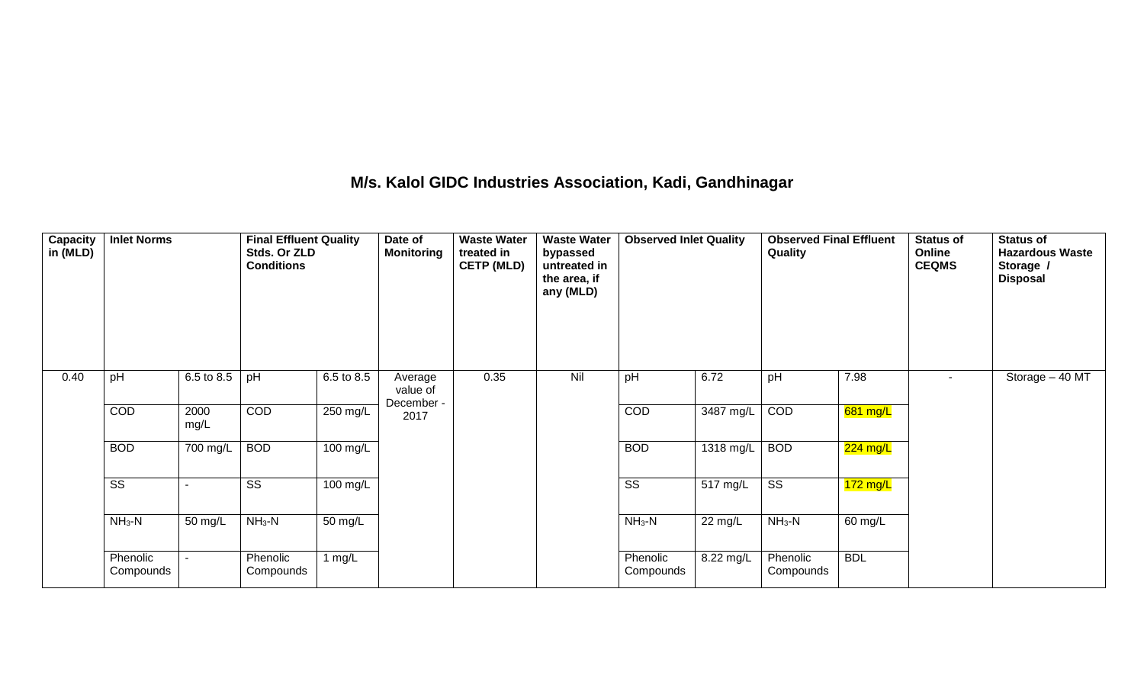## **M/s. Kalol GIDC Industries Association, Kadi, Gandhinagar**

| Capacity<br>in (MLD) | <b>Inlet Norms</b>     |              | <b>Final Effluent Quality</b><br>Stds. Or ZLD<br><b>Conditions</b> |                      | Date of<br><b>Monitoring</b> | <b>Waste Water</b><br>treated in<br><b>CETP (MLD)</b> | <b>Waste Water</b><br>bypassed<br>untreated in<br>the area, if<br>any (MLD) | <b>Observed Inlet Quality</b> |                        | <b>Observed Final Effluent</b><br>Quality |            | <b>Status of</b><br>Online<br><b>CEQMS</b> | <b>Status of</b><br><b>Hazardous Waste</b><br>Storage /<br><b>Disposal</b> |
|----------------------|------------------------|--------------|--------------------------------------------------------------------|----------------------|------------------------------|-------------------------------------------------------|-----------------------------------------------------------------------------|-------------------------------|------------------------|-------------------------------------------|------------|--------------------------------------------|----------------------------------------------------------------------------|
| 0.40                 | pH                     | 6.5 to 8.5   | pH                                                                 | 6.5 to 8.5           | Average<br>value of          | 0.35                                                  | Nil                                                                         | pH                            | 6.72                   | pH                                        | 7.98       | $\blacksquare$                             | Storage $-40$ MT                                                           |
|                      | COD                    | 2000<br>mg/L | <b>COD</b>                                                         | $250$ mg/L           | December -<br>2017           |                                                       |                                                                             | COD                           | $\overline{3487}$ mg/L | COD                                       | 681 mg/L   |                                            |                                                                            |
|                      | <b>BOD</b>             | 700 mg/L     | <b>BOD</b>                                                         | 100 mg/L             |                              |                                                       |                                                                             | <b>BOD</b>                    | 1318 mg/L              | <b>BOD</b>                                | 224 mg/L   |                                            |                                                                            |
|                      | $\overline{\text{ss}}$ |              | $\overline{\text{ss}}$                                             | 100 mg/L             |                              |                                                       |                                                                             | $\overline{\text{ss}}$        | 517 mg/L               | $\overline{\text{ss}}$                    | $172$ mg/L |                                            |                                                                            |
|                      | $NH3-N$                | 50 mg/L      | $NH3-N$                                                            | $\overline{50}$ mg/L |                              |                                                       |                                                                             | $NH3-N$                       | 22 mg/L                | $NH3-N$                                   | 60 mg/L    |                                            |                                                                            |
|                      | Phenolic<br>Compounds  |              | Phenolic<br>Compounds                                              | 1 $mg/L$             |                              |                                                       |                                                                             | Phenolic<br>Compounds         | 8.22 mg/L              | Phenolic<br>Compounds                     | <b>BDL</b> |                                            |                                                                            |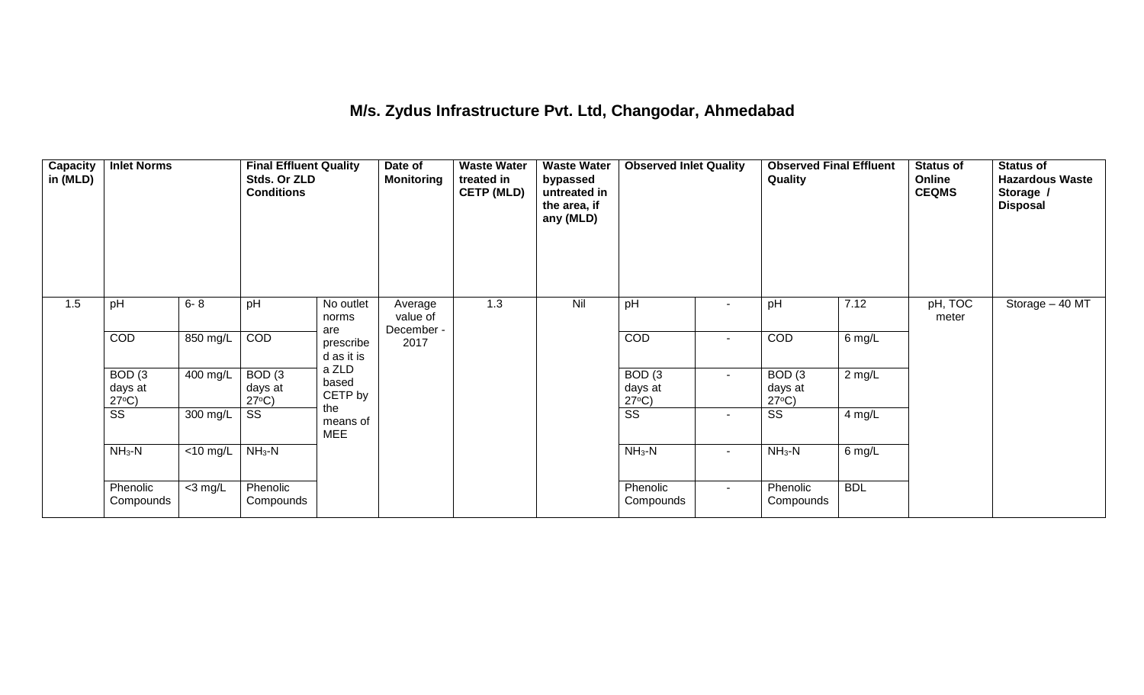## **M/s. Zydus Infrastructure Pvt. Ltd, Changodar, Ahmedabad**

| Capacity<br>in (MLD) | <b>Inlet Norms</b>                   |                       | <b>Final Effluent Quality</b><br>Stds. Or ZLD<br><b>Conditions</b> |                                | Date of<br><b>Monitoring</b> | <b>Waste Water</b><br>treated in<br><b>CETP (MLD)</b> | <b>Waste Water</b><br>bypassed<br>untreated in<br>the area, if<br>any (MLD) | <b>Observed Inlet Quality</b>        |                          | <b>Observed Final Effluent</b><br>Quality |            | Status of<br>Online<br><b>CEQMS</b> | <b>Status of</b><br><b>Hazardous Waste</b><br>Storage /<br><b>Disposal</b> |
|----------------------|--------------------------------------|-----------------------|--------------------------------------------------------------------|--------------------------------|------------------------------|-------------------------------------------------------|-----------------------------------------------------------------------------|--------------------------------------|--------------------------|-------------------------------------------|------------|-------------------------------------|----------------------------------------------------------------------------|
| 1.5                  | pH                                   | $6 - 8$               | pH                                                                 | No outlet<br>norms             | Average<br>value of          | 1.3                                                   | Nil                                                                         | pH                                   | $\overline{\phantom{a}}$ | pH                                        | 7.12       | pH, TOC<br>meter                    | Storage - 40 MT                                                            |
|                      | COD                                  | 850 mg/L              | COD                                                                | are<br>prescribe<br>d as it is | December -<br>2017           |                                                       |                                                                             | COD                                  | $\blacksquare$           | COD                                       | 6 mg/L     |                                     |                                                                            |
|                      | BOD(3)<br>days at<br>$27^{\circ}C$ ) | $\overline{400}$ mg/L | BOD(3)<br>days at<br>$27^{\circ}C$ )                               | a ZLD<br>based<br>CETP by      |                              |                                                       |                                                                             | BOD(3)<br>days at<br>$27^{\circ}C$ ) | $\sim$                   | BOD(3)<br>days at<br>$27^{\circ}C$ )      | $2$ mg/L   |                                     |                                                                            |
|                      | $\overline{\text{SS}}$               | 300 mg/L              | SS                                                                 | the<br>means of<br><b>MEE</b>  |                              |                                                       |                                                                             | $\overline{\text{SS}}$               | $\overline{\phantom{a}}$ | SS                                        | 4 mg/L     |                                     |                                                                            |
|                      | $NH3-N$                              | <10 mg/L              | $NH3-N$                                                            |                                |                              |                                                       |                                                                             | $NH3-N$                              | $\sim$                   | $NH3-N$                                   | 6 mg/L     |                                     |                                                                            |
|                      | Phenolic<br>Compounds                | $<$ 3 mg/L            | Phenolic<br>Compounds                                              |                                |                              |                                                       |                                                                             | Phenolic<br>Compounds                | $\sim$                   | Phenolic<br>Compounds                     | <b>BDL</b> |                                     |                                                                            |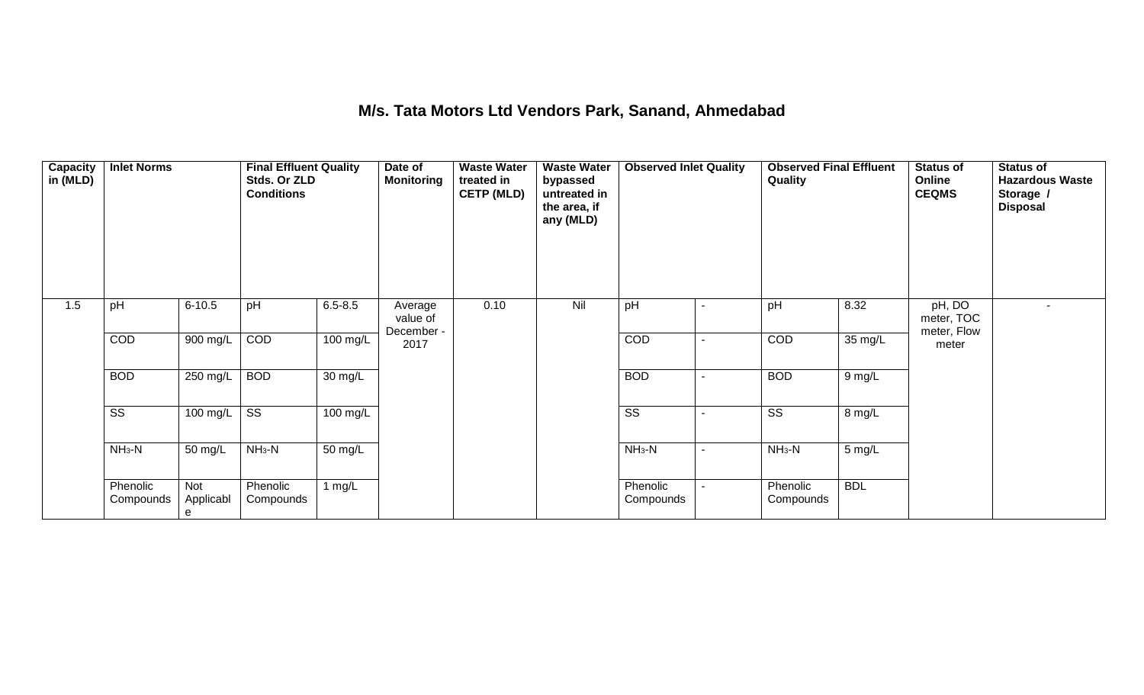#### **M/s. Tata Motors Ltd Vendors Park, Sanand, Ahmedabad**

| Capacity<br>in (MLD) | <b>Inlet Norms</b>     |                       | <b>Final Effluent Quality</b><br>Stds. Or ZLD<br><b>Conditions</b> |                      | Date of<br><b>Monitoring</b> | <b>Waste Water</b><br>treated in<br><b>CETP (MLD)</b> | <b>Waste Water</b><br>bypassed<br>untreated in<br>the area, if<br>any (MLD) | <b>Observed Inlet Quality</b> |                | <b>Observed Final Effluent</b><br>Quality |            | <b>Status of</b><br>Online<br><b>CEQMS</b> | <b>Status of</b><br><b>Hazardous Waste</b><br>Storage /<br><b>Disposal</b> |
|----------------------|------------------------|-----------------------|--------------------------------------------------------------------|----------------------|------------------------------|-------------------------------------------------------|-----------------------------------------------------------------------------|-------------------------------|----------------|-------------------------------------------|------------|--------------------------------------------|----------------------------------------------------------------------------|
| 1.5                  | pH                     | $6 - 10.5$            | pH                                                                 | $6.5 - 8.5$          | Average<br>value of          | 0.10                                                  | Nil                                                                         | pH                            | $\blacksquare$ | pH                                        | 8.32       | pH, DO<br>meter, TOC                       | $\blacksquare$                                                             |
|                      | COD                    | 900 mg/L              | COD                                                                | 100 mg/L             | December -<br>2017           |                                                       |                                                                             | COD                           | $\blacksquare$ | COD                                       | 35 mg/L    | meter, Flow<br>meter                       |                                                                            |
|                      | <b>BOD</b>             | $250$ mg/L            | <b>BOD</b>                                                         | $\overline{30}$ mg/L |                              |                                                       |                                                                             | <b>BOD</b>                    | $\blacksquare$ | <b>BOD</b>                                | 9 mg/L     |                                            |                                                                            |
|                      | $\overline{\text{ss}}$ | 100 mg/L              | SS                                                                 | 100 mg/L             |                              |                                                       |                                                                             | $\overline{\text{ss}}$        |                | SS                                        | 8 mg/L     |                                            |                                                                            |
|                      | $NH3-N$                | 50 mg/L               | $NH3-N$                                                            | 50 mg/L              |                              |                                                       |                                                                             | $NH_3-N$                      | $\blacksquare$ | $NH3-N$                                   | 5 mg/L     |                                            |                                                                            |
|                      | Phenolic<br>Compounds  | Not<br>Applicabl<br>e | Phenolic<br>Compounds                                              | 1 $mg/L$             |                              |                                                       |                                                                             | Phenolic<br>Compounds         | -              | Phenolic<br>Compounds                     | <b>BDL</b> |                                            |                                                                            |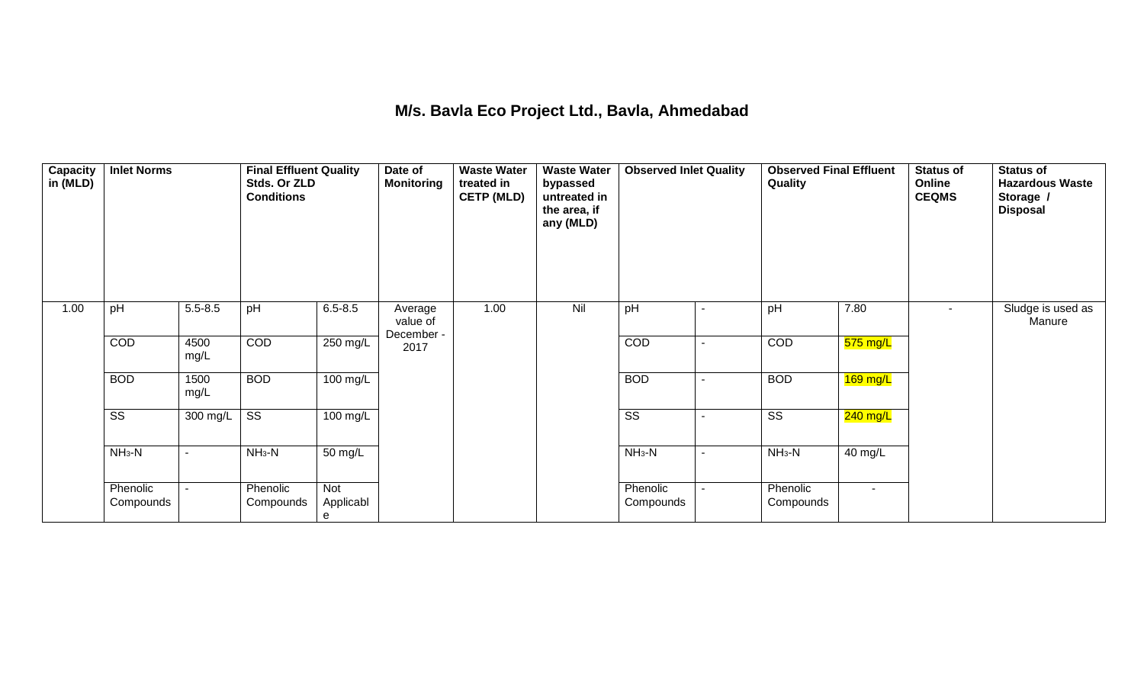## **M/s. Bavla Eco Project Ltd., Bavla, Ahmedabad**

| Capacity<br>in (MLD) | <b>Inlet Norms</b>     |                          | <b>Final Effluent Quality</b><br>Stds. Or ZLD<br><b>Conditions</b> |                              | Date of<br><b>Monitoring</b>      | <b>Waste Water</b><br>treated in<br><b>CETP (MLD)</b> | <b>Waste Water</b><br>bypassed<br>untreated in<br>the area, if<br>any (MLD) | <b>Observed Inlet Quality</b> |                | <b>Observed Final Effluent</b><br>Quality |            | <b>Status of</b><br>Online<br><b>CEQMS</b> | <b>Status of</b><br><b>Hazardous Waste</b><br>Storage /<br><b>Disposal</b> |
|----------------------|------------------------|--------------------------|--------------------------------------------------------------------|------------------------------|-----------------------------------|-------------------------------------------------------|-----------------------------------------------------------------------------|-------------------------------|----------------|-------------------------------------------|------------|--------------------------------------------|----------------------------------------------------------------------------|
| 1.00                 | pH                     | $5.5 - 8.5$              | pH                                                                 | $6.5 - 8.5$                  | Average<br>value of<br>December - | 1.00                                                  | Nil                                                                         | pH                            | $\blacksquare$ | pH                                        | 7.80       | $\sim$                                     | Sludge is used as<br>Manure                                                |
|                      | COD                    | 4500<br>mg/L             | COD                                                                | 250 mg/L                     | 2017                              |                                                       |                                                                             | COD                           | $\blacksquare$ | COD                                       | $575$ mg/L |                                            |                                                                            |
|                      | <b>BOD</b>             | 1500<br>mg/L             | <b>BOD</b>                                                         | 100 mg/L                     |                                   |                                                       |                                                                             | <b>BOD</b>                    | $\blacksquare$ | <b>BOD</b>                                | $169$ mg/L |                                            |                                                                            |
|                      | $\overline{\text{ss}}$ | 300 mg/L                 | $\overline{\text{ss}}$                                             | 100 mg/L                     |                                   |                                                       |                                                                             | $\overline{\text{ss}}$        |                | $\overline{\text{ss}}$                    | $240$ mg/L |                                            |                                                                            |
|                      | $NH_3-N$               | $\overline{\phantom{a}}$ | $NH3-N$                                                            | 50 mg/L                      |                                   |                                                       |                                                                             | $NH_3-N$                      | $\sim$         | $NH3-N$                                   | 40 mg/L    |                                            |                                                                            |
|                      | Phenolic<br>Compounds  |                          | Phenolic<br>Compounds                                              | <b>Not</b><br>Applicabl<br>e |                                   |                                                       |                                                                             | Phenolic<br>Compounds         |                | Phenolic<br>Compounds                     | $\sim$     |                                            |                                                                            |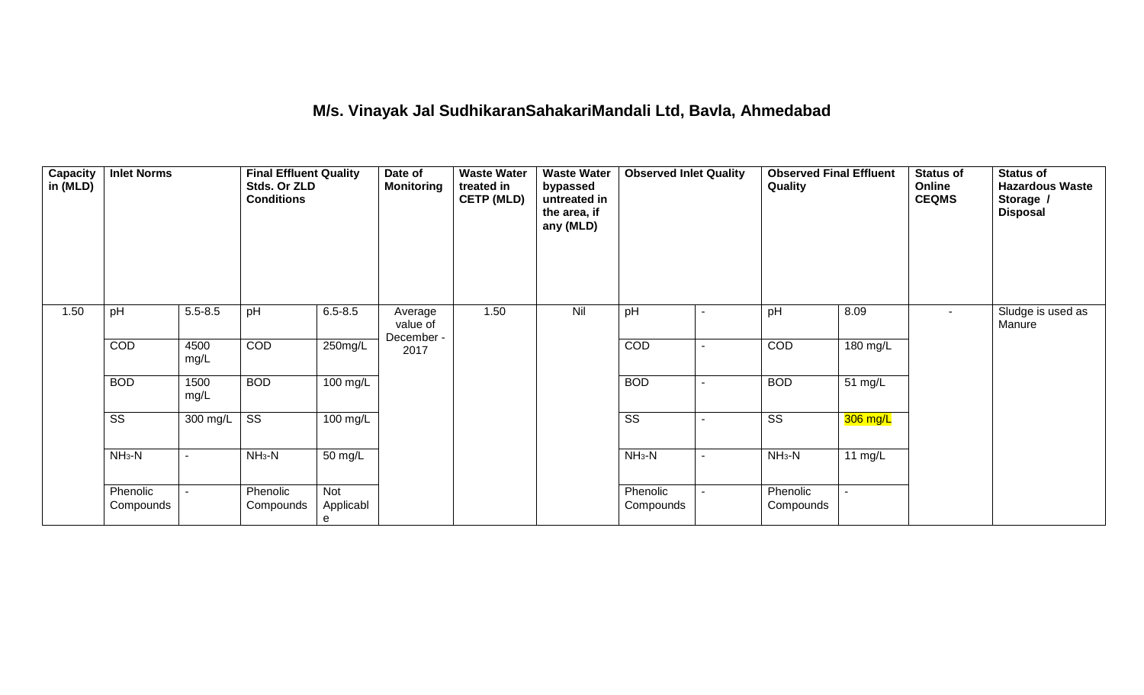#### **M/s. Vinayak Jal SudhikaranSahakariMandali Ltd, Bavla, Ahmedabad**

| Capacity<br>in (MLD) | <b>Inlet Norms</b>     |                          | <b>Final Effluent Quality</b><br>Stds. Or ZLD<br><b>Conditions</b> |                       | Date of<br><b>Monitoring</b>      | treated in<br><b>CETP (MLD)</b><br>1.50 | <b>Waste Water</b><br>bypassed<br>untreated in<br>the area, if<br>any (MLD) | <b>Observed Inlet Quality</b> |                | <b>Observed Final Effluent</b><br>Quality |           | Status of<br>Online<br><b>CEQMS</b> | <b>Status of</b><br><b>Hazardous Waste</b><br>Storage /<br><b>Disposal</b> |
|----------------------|------------------------|--------------------------|--------------------------------------------------------------------|-----------------------|-----------------------------------|-----------------------------------------|-----------------------------------------------------------------------------|-------------------------------|----------------|-------------------------------------------|-----------|-------------------------------------|----------------------------------------------------------------------------|
| 1.50                 | pH                     | $5.5 - 8.5$              | pH                                                                 | $6.5 - 8.5$           | Average<br>value of<br>December - |                                         | Nil                                                                         | pH                            |                | pH                                        | 8.09      |                                     | Sludge is used as<br>Manure                                                |
|                      | COD                    | 4500<br>mg/L             | COD                                                                | 250mg/L               | 2017                              |                                         |                                                                             | COD                           | $\blacksquare$ | COD                                       | 180 mg/L  |                                     |                                                                            |
|                      | <b>BOD</b>             | 1500<br>mg/L             | <b>BOD</b>                                                         | 100 mg/L              |                                   |                                         |                                                                             | <b>BOD</b>                    |                | <b>BOD</b>                                | 51 mg/L   |                                     |                                                                            |
|                      | $\overline{\text{SS}}$ | 300 mg/L                 | $\overline{\text{ss}}$                                             | $\overline{100}$ mg/L |                                   |                                         |                                                                             | $\overline{\text{SS}}$        |                | $\overline{\text{SS}}$                    | 306 mg/L  |                                     |                                                                            |
|                      | $NH3-N$                | $\blacksquare$           | $NH_3-N$                                                           | 50 mg/L               |                                   |                                         |                                                                             | $NH3-N$                       | $\blacksquare$ | $NH_3-N$                                  | 11 $mg/L$ |                                     |                                                                            |
|                      | Phenolic<br>Compounds  | $\overline{\phantom{a}}$ | Phenolic<br>Compounds                                              | Not<br>Applicabl<br>e |                                   |                                         |                                                                             | Phenolic<br>Compounds         |                | Phenolic<br>Compounds                     |           |                                     |                                                                            |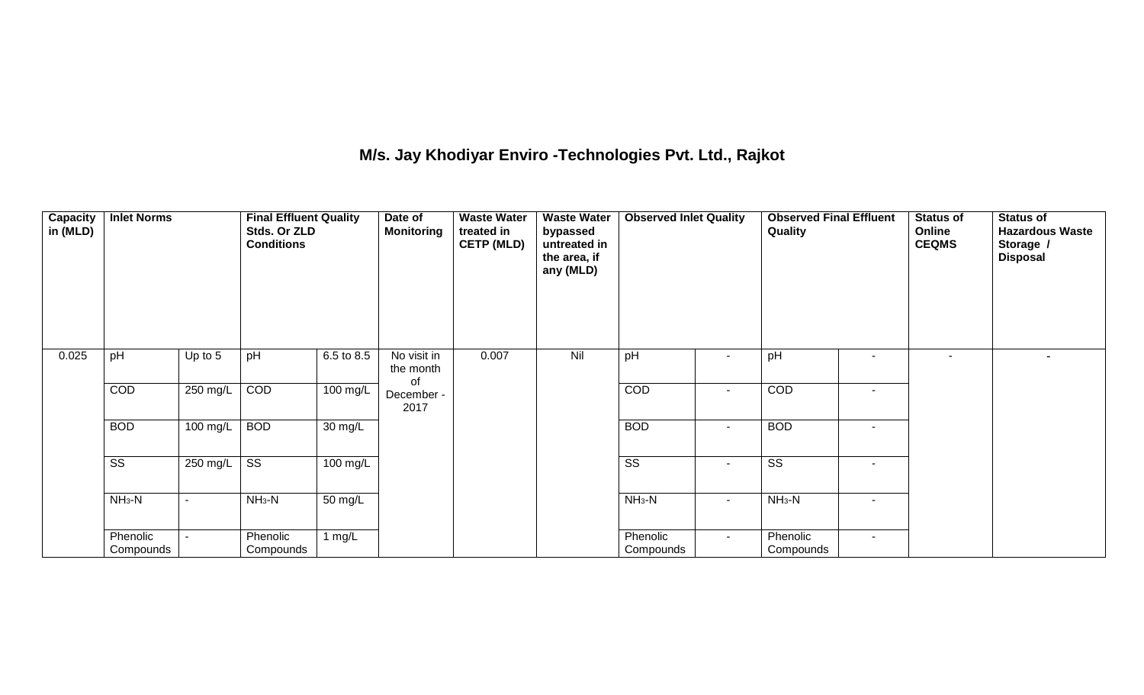## **M/s. Jay Khodiyar Enviro -Technologies Pvt. Ltd., Rajkot**

| <b>Capacity</b><br>in (MLD) | <b>Inlet Norms</b>     |           | <b>Final Effluent Quality</b><br>Stds. Or ZLD<br><b>Conditions</b> |                      | Date of<br><b>Waste Water</b><br><b>Monitoring</b><br>treated in<br><b>CETP (MLD)</b> |       | <b>Waste Water</b><br>bypassed<br>untreated in<br>the area, if<br>any (MLD) | <b>Observed Inlet Quality</b> |        | <b>Observed Final Effluent</b><br>Quality |                          | <b>Status of</b><br>Online<br><b>CEQMS</b> | <b>Status of</b><br><b>Hazardous Waste</b><br>Storage /<br><b>Disposal</b> |
|-----------------------------|------------------------|-----------|--------------------------------------------------------------------|----------------------|---------------------------------------------------------------------------------------|-------|-----------------------------------------------------------------------------|-------------------------------|--------|-------------------------------------------|--------------------------|--------------------------------------------|----------------------------------------------------------------------------|
| 0.025                       | pH                     | Up to $5$ | pH                                                                 | 6.5 to 8.5           | No visit in<br>the month                                                              | 0.007 | Nil                                                                         | pH                            |        | pH                                        |                          | $\sim$                                     | $\blacksquare$                                                             |
|                             | COD                    | 250 mg/L  | COD                                                                | 100 mg/L             | of<br>December -<br>2017                                                              |       |                                                                             | COD                           |        | COD                                       |                          |                                            |                                                                            |
|                             | <b>BOD</b>             | 100 mg/L  | <b>BOD</b>                                                         | $\overline{30}$ mg/L |                                                                                       |       |                                                                             | <b>BOD</b>                    | $\sim$ | <b>BOD</b>                                | $\overline{\phantom{0}}$ |                                            |                                                                            |
|                             | $\overline{\text{ss}}$ | 250 mg/L  | $\overline{\text{SS}}$                                             | $100$ mg/L           |                                                                                       |       |                                                                             | $\overline{\text{ss}}$        |        | $\overline{\text{SS}}$                    | $\overline{\phantom{a}}$ |                                            |                                                                            |
|                             | $NH3-N$                |           | $NH3-N$                                                            | 50 mg/L              |                                                                                       |       |                                                                             | $NH3-N$                       | $\sim$ | $NH3-N$                                   | $\overline{\phantom{0}}$ |                                            |                                                                            |
|                             | Phenolic<br>Compounds  |           | Phenolic<br>Compounds                                              | 1 $mg/L$             |                                                                                       |       |                                                                             | Phenolic<br>Compounds         | $\sim$ | Phenolic<br>Compounds                     | $\sim$                   |                                            |                                                                            |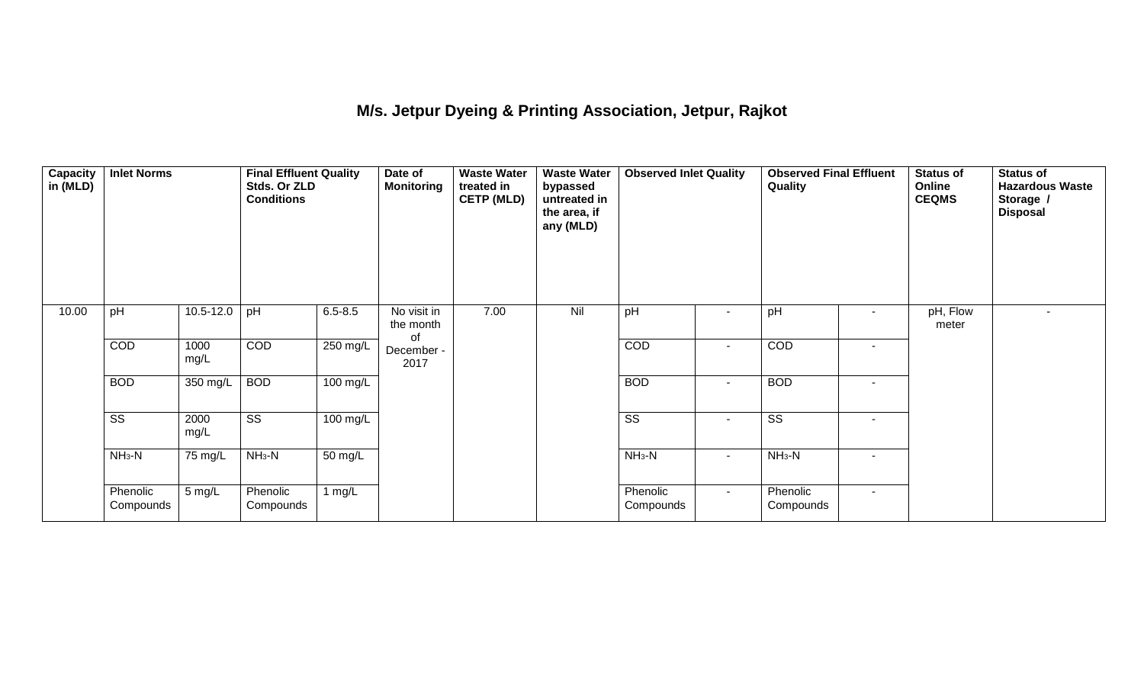## **M/s. Jetpur Dyeing & Printing Association, Jetpur, Rajkot**

| <b>Capacity</b><br>in (MLD) | <b>Inlet Norms</b>     |               | <b>Final Effluent Quality</b><br>Stds. Or ZLD<br><b>Conditions</b> |             | Date of<br><b>Monitoring</b>   | <b>Waste Water</b><br>treated in<br><b>CETP (MLD)</b> | <b>Waste Water</b><br>bypassed<br>untreated in<br>the area, if<br>any (MLD) | <b>Observed Inlet Quality</b><br>$\overline{\phantom{a}}$ |        | <b>Observed Final Effluent</b><br>Quality |        | <b>Status of</b><br>Online<br><b>CEQMS</b> | <b>Status of</b><br><b>Hazardous Waste</b><br>Storage /<br><b>Disposal</b> |
|-----------------------------|------------------------|---------------|--------------------------------------------------------------------|-------------|--------------------------------|-------------------------------------------------------|-----------------------------------------------------------------------------|-----------------------------------------------------------|--------|-------------------------------------------|--------|--------------------------------------------|----------------------------------------------------------------------------|
| 10.00                       | pH                     | $10.5 - 12.0$ | pH                                                                 | $6.5 - 8.5$ | No visit in<br>the month<br>of | 7.00                                                  | Nil                                                                         | pH                                                        |        | pH                                        | $\sim$ | pH, Flow<br>meter                          | $\overline{\phantom{0}}$                                                   |
|                             | COD                    | 1000<br>mg/L  | COD                                                                | 250 mg/L    | December -<br>2017             |                                                       |                                                                             | COD                                                       | $\sim$ | COD                                       | $\sim$ |                                            |                                                                            |
|                             | <b>BOD</b>             | 350 mg/L      | <b>BOD</b>                                                         | 100 mg/L    |                                |                                                       |                                                                             | <b>BOD</b>                                                | $\sim$ | <b>BOD</b>                                | $\sim$ |                                            |                                                                            |
|                             | $\overline{\text{ss}}$ | 2000<br>mg/L  | $\overline{\text{ss}}$                                             | $100$ mg/L  |                                |                                                       |                                                                             | $\overline{\text{ss}}$                                    | $\sim$ | $\overline{\text{ss}}$                    | $\sim$ |                                            |                                                                            |
|                             | $NH3-N$                | 75 mg/L       | $NH3-N$                                                            | 50 mg/L     |                                |                                                       |                                                                             | $NH_3-N$                                                  | $\sim$ | $NH3-N$                                   | $\sim$ |                                            |                                                                            |
|                             | Phenolic<br>Compounds  | 5 mg/L        | Phenolic<br>Compounds                                              | 1 $mg/L$    |                                |                                                       |                                                                             | Phenolic<br>Compounds                                     | $\sim$ | Phenolic<br>Compounds                     | $\sim$ |                                            |                                                                            |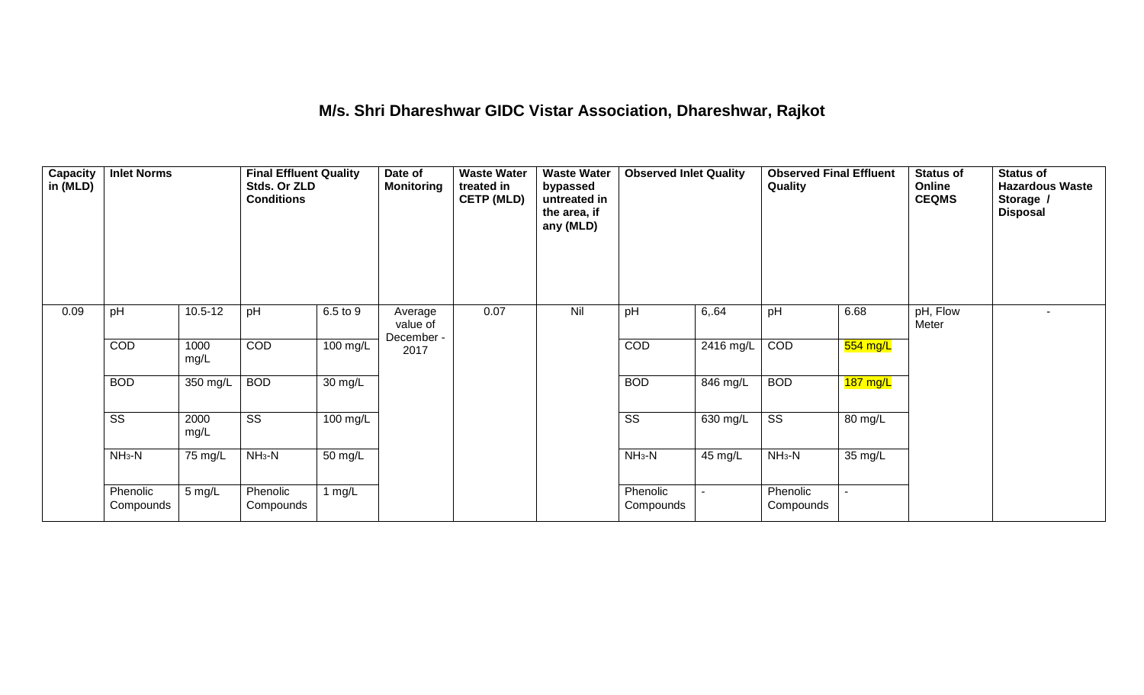#### **M/s. Shri Dhareshwar GIDC Vistar Association, Dhareshwar, Rajkot**

| Capacity<br>in (MLD) | <b>Inlet Norms</b>     |              | <b>Final Effluent Quality</b><br>Stds. Or ZLD<br><b>Conditions</b> |                    | Date of<br><b>Monitoring</b>      | <b>Waste Water</b><br><b>Waste Water</b><br>treated in<br>bypassed<br><b>CETP (MLD)</b><br>untreated in<br>the area, if<br>any (MLD) |     | <b>Observed Inlet Quality</b> |                | <b>Observed Final Effluent</b><br>Quality |                    | <b>Status of</b><br>Online<br><b>CEQMS</b> | <b>Status of</b><br><b>Hazardous Waste</b><br>Storage /<br><b>Disposal</b> |
|----------------------|------------------------|--------------|--------------------------------------------------------------------|--------------------|-----------------------------------|--------------------------------------------------------------------------------------------------------------------------------------|-----|-------------------------------|----------------|-------------------------------------------|--------------------|--------------------------------------------|----------------------------------------------------------------------------|
| 0.09                 | pH                     | $10.5 - 12$  | pH                                                                 | 6.5 to 9           | Average<br>value of<br>December - | 0.07                                                                                                                                 | Nil | pH                            | 6,64           | pH                                        | 6.68               | pH, Flow<br>Meter                          | $\sim$                                                                     |
|                      | COD                    | 1000<br>mg/L | COD                                                                | 100 mg/L           | 2017                              |                                                                                                                                      |     | COD                           | $2416$ mg/L    | COD                                       | 554 mg/L           |                                            |                                                                            |
|                      | <b>BOD</b>             | 350 mg/L     | <b>BOD</b>                                                         | 30 mg/L            |                                   |                                                                                                                                      |     | <b>BOD</b>                    | 846 mg/L       | <b>BOD</b>                                | $187 \text{ mg/L}$ |                                            |                                                                            |
|                      | $\overline{\text{ss}}$ | 2000<br>mg/L | $\overline{\text{ss}}$                                             | $100 \text{ mg/L}$ |                                   |                                                                                                                                      |     | $\overline{\text{ss}}$        | 630 mg/L       | $\overline{\text{ss}}$                    | 80 mg/L            |                                            |                                                                            |
|                      | $NH_3-N$               | 75 mg/L      | $NH3-N$                                                            | 50 mg/L            |                                   |                                                                                                                                      |     | $NH3-N$                       | 45 mg/L        | $NH3-N$                                   | 35 mg/L            |                                            |                                                                            |
|                      | Phenolic<br>Compounds  | $5$ mg/L     | Phenolic<br>Compounds                                              | 1 mg/L             |                                   |                                                                                                                                      |     | Phenolic<br>Compounds         | $\blacksquare$ | Phenolic<br>Compounds                     | $\sim$             |                                            |                                                                            |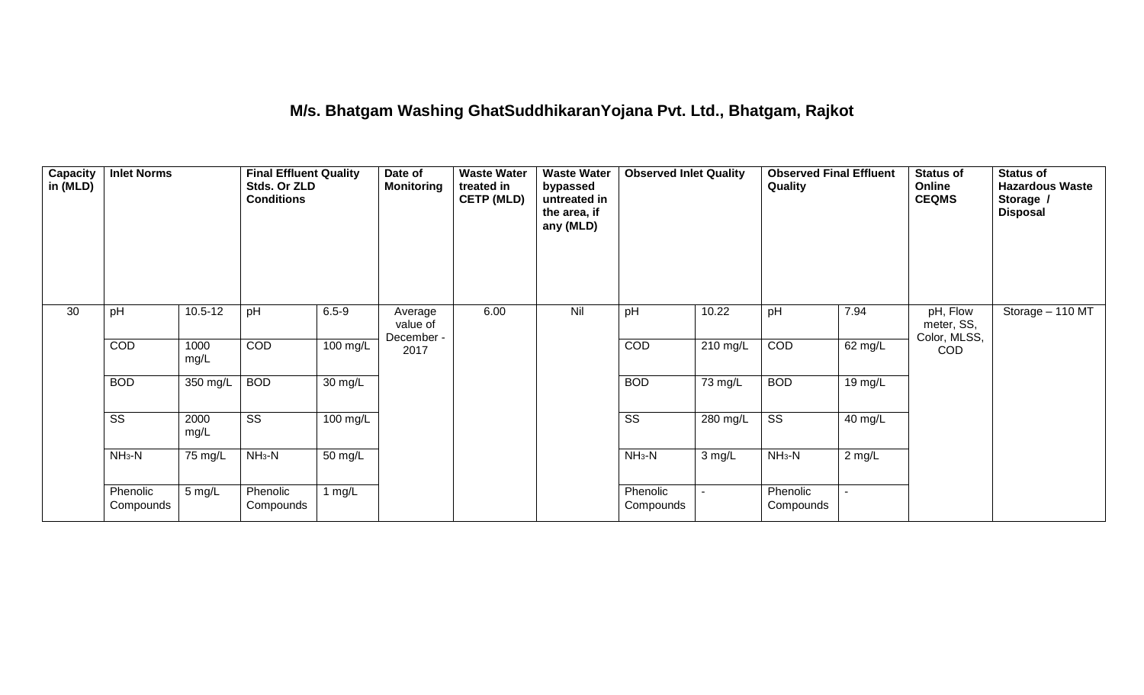## **M/s. Bhatgam Washing GhatSuddhikaranYojana Pvt. Ltd., Bhatgam, Rajkot**

| <b>Capacity</b><br>in (MLD) | <b>Inlet Norms</b>     |              | <b>Final Effluent Quality</b><br>Stds. Or ZLD<br><b>Conditions</b> |                    | Date of<br><b>Monitoring</b>      | <b>Waste Water</b><br>treated in<br><b>CETP (MLD)</b> | <b>Waste Water</b><br>bypassed<br>untreated in<br>the area, if<br>any (MLD) |                        |                | <b>Observed Final Effluent</b><br>Quality |                | <b>Status of</b><br>Online<br><b>CEQMS</b> | <b>Status of</b><br><b>Hazardous Waste</b><br>Storage /<br><b>Disposal</b> |
|-----------------------------|------------------------|--------------|--------------------------------------------------------------------|--------------------|-----------------------------------|-------------------------------------------------------|-----------------------------------------------------------------------------|------------------------|----------------|-------------------------------------------|----------------|--------------------------------------------|----------------------------------------------------------------------------|
| 30                          | pH                     | $10.5 - 12$  | pH                                                                 | $6.5 - 9$          | Average<br>value of<br>December - | 6.00                                                  | Nil                                                                         | pH                     | 10.22          | pH                                        | 7.94           | pH, Flow<br>meter, SS,<br>Color, MLSS,     | Storage - 110 MT                                                           |
|                             | COD                    | 1000<br>mg/L | COD                                                                | $100 \text{ mg/L}$ | 2017                              |                                                       |                                                                             | COD                    | $210$ mg/L     | COD                                       | 62 mg/L        | <b>COD</b>                                 |                                                                            |
|                             | <b>BOD</b>             | 350 mg/L     | <b>BOD</b>                                                         | 30 mg/L            |                                   |                                                       |                                                                             | <b>BOD</b>             | 73 mg/L        | <b>BOD</b>                                | 19 mg/L        |                                            |                                                                            |
|                             | $\overline{\text{ss}}$ | 2000<br>mg/L | $\overline{\text{ss}}$                                             | $100 \text{ mg/L}$ |                                   |                                                       |                                                                             | $\overline{\text{ss}}$ | $280$ mg/L     | $\overline{\text{ss}}$                    | 40 mg/L        |                                            |                                                                            |
|                             | $NH3-N$                | 75 mg/L      | $NH3-N$                                                            | 50 mg/L            |                                   |                                                       |                                                                             | $NH_3-N$               | $3$ mg/L       | $NH3-N$                                   | $2$ mg/L       |                                            |                                                                            |
|                             | Phenolic<br>Compounds  | 5 mg/L       | Phenolic<br>Compounds                                              | 1 $mg/L$           |                                   |                                                       |                                                                             | Phenolic<br>Compounds  | $\blacksquare$ | Phenolic<br>Compounds                     | $\blacksquare$ |                                            |                                                                            |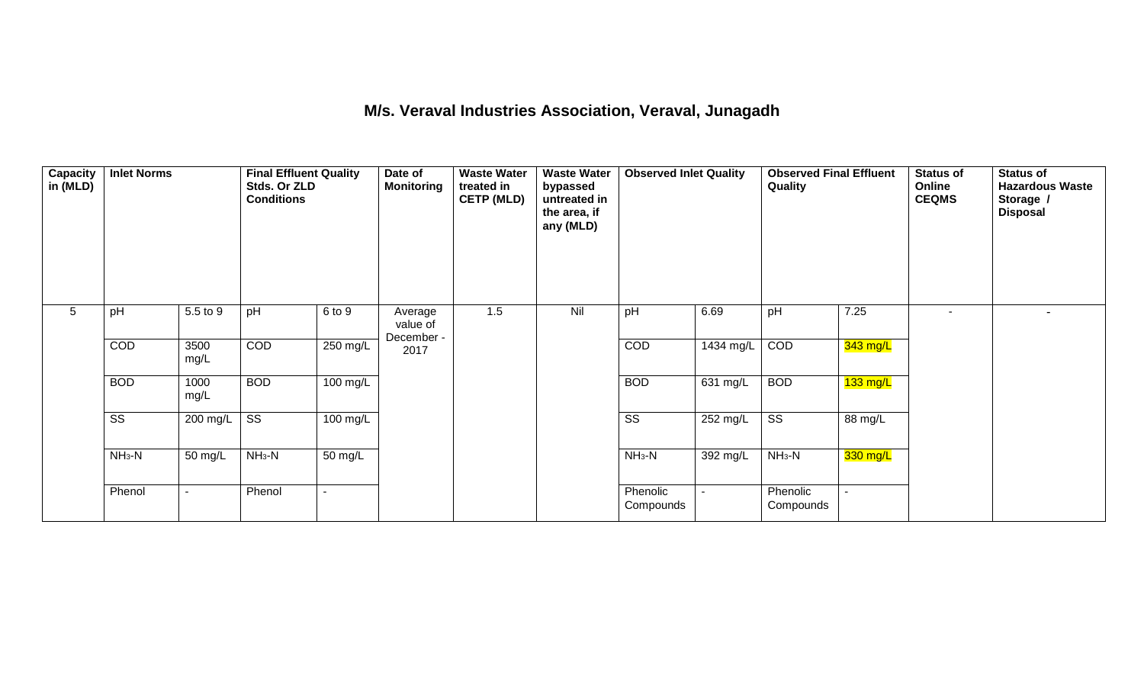#### **M/s. Veraval Industries Association, Veraval, Junagadh**

| $\overline{\mathsf{Capacity}}$<br>in (MLD) | <b>Inlet Norms</b>     |                          | <b>Final Effluent Quality</b><br>Stds. Or ZLD<br><b>Conditions</b> |                      | Date of<br><b>Monitoring</b>      | <b>Waste Water</b><br>treated in<br><b>CETP (MLD)</b> | <b>Waste Water</b><br>bypassed<br>untreated in<br>the area, if<br>any (MLD) | <b>Observed Inlet Quality</b> |                     | <b>Observed Final Effluent</b><br>Quality |                    | Status of<br>Online<br><b>CEQMS</b> | <b>Status of</b><br><b>Hazardous Waste</b><br>Storage /<br><b>Disposal</b> |
|--------------------------------------------|------------------------|--------------------------|--------------------------------------------------------------------|----------------------|-----------------------------------|-------------------------------------------------------|-----------------------------------------------------------------------------|-------------------------------|---------------------|-------------------------------------------|--------------------|-------------------------------------|----------------------------------------------------------------------------|
| 5                                          | pH                     | 5.5 to 9                 | pH                                                                 | 6 to 9               | Average<br>value of<br>December - | 1.5                                                   | Nil                                                                         | pH                            | 6.69                | pH                                        | 7.25               |                                     | $\overline{\phantom{a}}$                                                   |
|                                            | COD                    | 3500<br>mg/L             | COD                                                                | $250 \text{ mg/L}$   | 2017                              |                                                       |                                                                             | COD                           | $1434 \text{ mg/L}$ | COD                                       | 343 mg/L           |                                     |                                                                            |
|                                            | <b>BOD</b>             | 1000<br>mg/L             | <b>BOD</b>                                                         | 100 mg/L             |                                   |                                                       |                                                                             | <b>BOD</b>                    | 631 mg/L            | <b>BOD</b>                                | $133 \text{ mg/L}$ |                                     |                                                                            |
|                                            | $\overline{\text{ss}}$ | 200 mg/L                 | $\overline{\text{ss}}$                                             | 100 mg/L             |                                   |                                                       |                                                                             | $\overline{\text{ss}}$        | 252 mg/L            | $\overline{\text{ss}}$                    | 88 mg/L            |                                     |                                                                            |
|                                            | $NH3-N$                | 50 mg/L                  | $NH3-N$                                                            | $\overline{50}$ mg/L |                                   |                                                       |                                                                             | $NH3-N$                       | 392 mg/L            | $NH3-N$                                   | 330 mg/L           |                                     |                                                                            |
|                                            | Phenol                 | $\overline{\phantom{a}}$ | Phenol                                                             | $\sim$               |                                   |                                                       |                                                                             | Phenolic<br>Compounds         |                     | Phenolic<br>Compounds                     |                    |                                     |                                                                            |